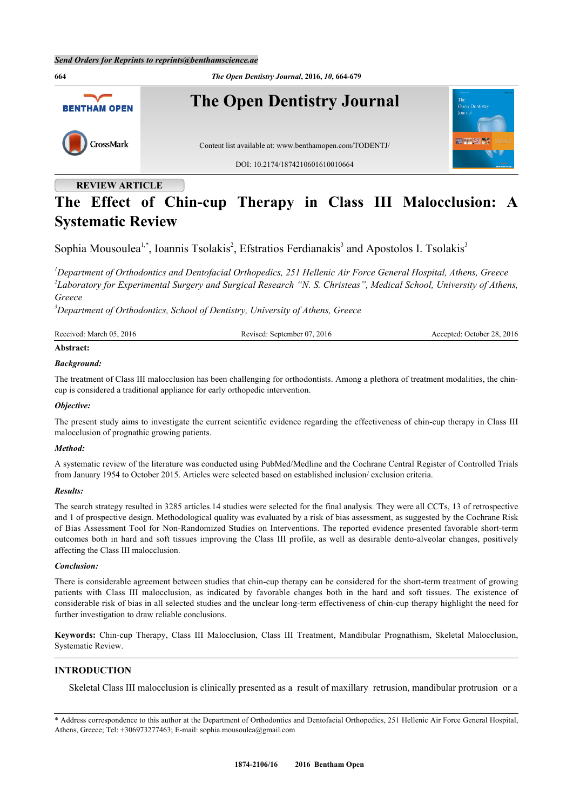

# **REVIEW ARTICLE**

# **The Effect of Chin-cup Therapy in Class III Malocclusion: A Systematic Review**

Sophia Mousoulea<sup>[1,](#page-0-0)[\\*](#page-0-1)</sup>, Ioannis Tsolakis<sup>[2](#page-0-2)</sup>, Efstratios Ferdianakis<sup>[3](#page-0-3)</sup> and Apostolos I. Tsolakis<sup>3</sup>

<span id="page-0-2"></span><span id="page-0-0"></span>*<sup>1</sup>Department of Orthodontics and Dentofacial Orthopedics, 251 Hellenic Air Force General Hospital, Athens, Greece 2 Laboratory for Experimental Surgery and Surgical Research "N. S. Christeas", Medical School, University of Athens, Greece*

<span id="page-0-3"></span>*<sup>3</sup>Department of Orthodontics, School of Dentistry, University of Athens, Greece*

| Received: March 05, 2016              | Revised: September 07, 2016 | Accepted: October 28, 2016 |
|---------------------------------------|-----------------------------|----------------------------|
| $\blacktriangle$ To and a second con- |                             |                            |

# **Abstract:** *Background:*

The treatment of Class III malocclusion has been challenging for orthodontists. Among a plethora of treatment modalities, the chincup is considered a traditional appliance for early orthopedic intervention.

## *Objective:*

The present study aims to investigate the current scientific evidence regarding the effectiveness of chin-cup therapy in Class III malocclusion of prognathic growing patients.

## *Method:*

A systematic review of the literature was conducted using PubMed/Medline and the Cochrane Central Register of Controlled Trials from January 1954 to October 2015. Articles were selected based on established inclusion/ exclusion criteria.

## *Results:*

The search strategy resulted in 3285 articles.14 studies were selected for the final analysis. They were all CCTs, 13 of retrospective and 1 of prospective design. Methodological quality was evaluated by a risk of bias assessment, as suggested by the Cochrane Risk of Bias Assessment Tool for Non-Randomized Studies on Interventions. The reported evidence presented favorable short-term outcomes both in hard and soft tissues improving the Class III profile, as well as desirable dento-alveolar changes, positively affecting the Class III malocclusion.

## *Conclusion:*

There is considerable agreement between studies that chin-cup therapy can be considered for the short-term treatment of growing patients with Class III malocclusion, as indicated by favorable changes both in the hard and soft tissues. The existence of considerable risk of bias in all selected studies and the unclear long-term effectiveness of chin-cup therapy highlight the need for further investigation to draw reliable conclusions.

**Keywords:** Chin-cup Therapy, Class III Malocclusion, Class III Treatment, Mandibular Prognathism, Skeletal Malocclusion, Systematic Review.

## **INTRODUCTION**

Skeletal Class III malocclusion is clinically presented as a result of maxillary retrusion, mandibular protrusion or a

<span id="page-0-1"></span><sup>\*</sup> Address correspondence to this author at the Department of Orthodontics and Dentofacial Orthopedics, 251 Hellenic Air Force General Hospital, Athens, Greece; Tel: +306973277463; E-mail: [sophia.mousoulea@gmail.com](mailto:sophia.mousoulea@gmail.com)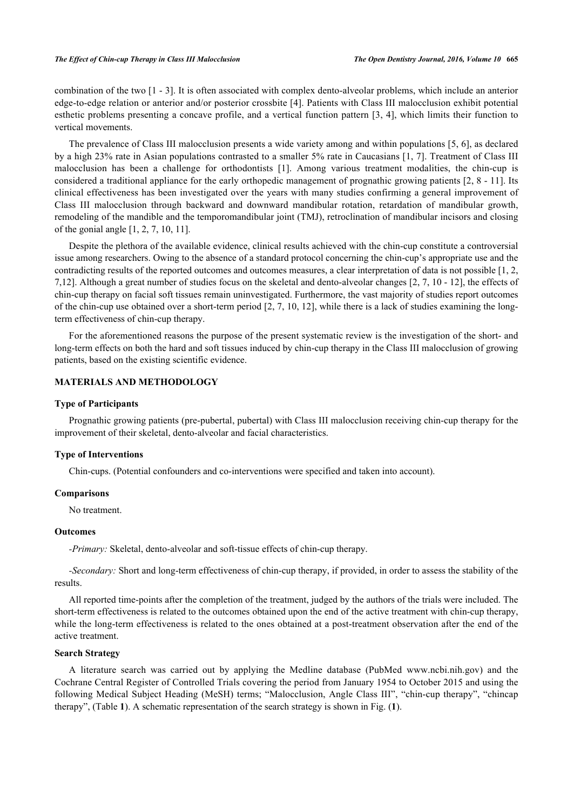combination of the two [[1](#page-14-0) - [3\]](#page-14-1). It is often associated with complex dento-alveolar problems, which include an anterior edge-to-edge relation or anterior and/or posterior crossbite [[4](#page-14-2)]. Patients with Class III malocclusion exhibit potential esthetic problems presenting a concave profile, and a vertical function pattern [\[3](#page-14-1), [4](#page-14-2)], which limits their function to vertical movements.

The prevalence of Class III malocclusion presents a wide variety among and within populations [[5](#page-14-3), [6](#page-14-4)], as declared by a high 23% rate in Asian populations contrasted to a smaller 5% rate in Caucasians [[1](#page-14-0), [7\]](#page-14-5). Treatment of Class III malocclusion has been a challenge for orthodontists [\[1](#page-14-0)]. Among various treatment modalities, the chin-cup is considered a traditional appliance for the early orthopedic management of prognathic growing patients [[2,](#page-14-6) [8](#page-14-7) - [11\]](#page-14-8). Its clinical effectiveness has been investigated over the years with many studies confirming a general improvement of Class III malocclusion through backward and downward mandibular rotation, retardation of mandibular growth, remodeling of the mandible and the temporomandibular joint (TMJ), retroclination of mandibular incisors and closing of the gonial angle [\[1](#page-14-0), [2](#page-14-6), [7](#page-14-5), [10](#page-14-9), [11](#page-14-8)].

Despite the plethora of the available evidence, clinical results achieved with the chin-cup constitute a controversial issue among researchers. Owing to the absence of a standard protocol concerning the chin-cup's appropriate use and the contradicting results of the reported outcomes and outcomes measures, a clear interpretation of data is not possible [\[1](#page-14-0), [2](#page-14-6), [7,](#page-14-5)[12](#page-14-10)]. Although a great number of studies focus on the skeletal and dento-alveolar changes [[2,](#page-14-6) [7,](#page-14-5) [10](#page-14-9) - [12\]](#page-14-10), the effects of chin-cup therapy on facial soft tissues remain uninvestigated. Furthermore, the vast majority of studies report outcomes of the chin-cup use obtained over a short-term period [[2,](#page-14-6) [7](#page-14-5), [10](#page-14-9), [12](#page-14-10)], while there is a lack of studies examining the longterm effectiveness of chin-cup therapy.

For the aforementioned reasons the purpose of the present systematic review is the investigation of the short- and long-term effects on both the hard and soft tissues induced by chin-cup therapy in the Class III malocclusion of growing patients, based on the existing scientific evidence.

# **MATERIALS AND METHODOLOGY**

#### **Type of Participants**

Prognathic growing patients (pre-pubertal, pubertal) with Class III malocclusion receiving chin-cup therapy for the improvement of their skeletal, dento-alveolar and facial characteristics.

#### **Type of Interventions**

Chin-cups. (Potential confounders and co-interventions were specified and taken into account).

#### **Comparisons**

No treatment.

#### **Outcomes**

*-Primary:* Skeletal, dento-alveolar and soft-tissue effects of chin-cup therapy.

*-Secondary:* Short and long-term effectiveness of chin-cup therapy, if provided, in order to assess the stability of the results.

All reported time-points after the completion of the treatment, judged by the authors of the trials were included. The short-term effectiveness is related to the outcomes obtained upon the end of the active treatment with chin-cup therapy, while the long-term effectiveness is related to the ones obtained at a post-treatment observation after the end of the active treatment.

## **Search Strategy**

A literature search was carried out by applying the Medline database (PubMed [www.ncbi.nih.gov](http://www.ncbi.nih.gov)) and the Cochrane Central Register of Controlled Trials covering the period from January 1954 to October 2015 and using the following Medical Subject Heading (MeSH) terms; "Malocclusion, Angle Class III", "chin-cup therapy", "chincap therapy", (Table **[1](#page-2-0)**). A schematic representation of the search strategy is shown in Fig. (**[1](#page-2-1)**).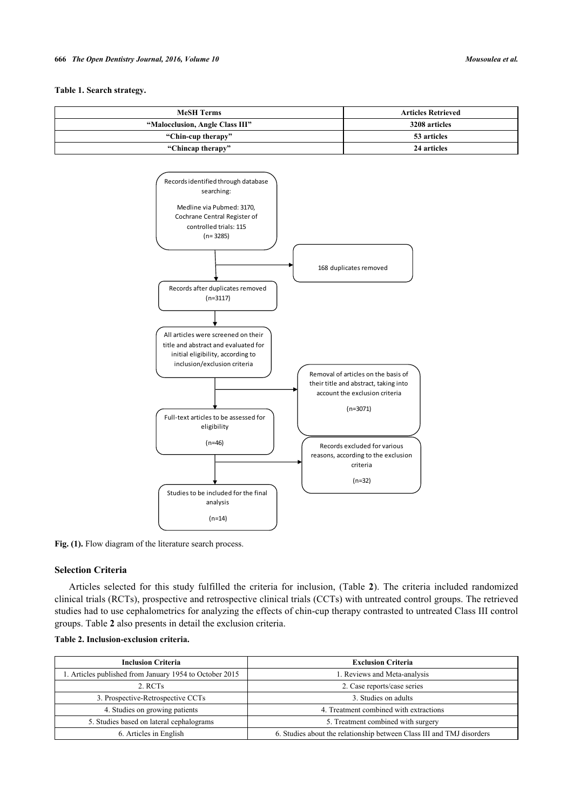#### **Table 1. Search strategy.**

<span id="page-2-1"></span><span id="page-2-0"></span>

Fig. (1). Flow diagram of the literature search process.

Studies to be included for the final analysis  $(n=14)$ 

Full-text articles to be assessed for eligibility (n=46)

## **Selection Criteria**

Articles selected for this study fulfilled the criteria for inclusion, (Table**2**). The criteria included randomized clinical trials (RCTs), prospective and retrospective clinical trials (CCTs) with untreated control groups. The retrieved studies had to use cephalometrics for analyzing the effects of chin-cup therapy contrasted to untreated Class III control groups. Table **[2](#page-2-2)** also presents in detail the exclusion criteria.

Records excluded for various reasons, according to the exclusion criteria (n=32)

| <b>Inclusion Criteria</b>                               | <b>Exclusion Criteria</b>                                             |
|---------------------------------------------------------|-----------------------------------------------------------------------|
|                                                         |                                                                       |
| 1. Articles published from January 1954 to October 2015 | 1. Reviews and Meta-analysis                                          |
| 2. RCTs                                                 | 2. Case reports/case series                                           |
| 3. Prospective-Retrospective CCTs                       | 3. Studies on adults                                                  |
| 4. Studies on growing patients                          | 4. Treatment combined with extractions                                |
| 5. Studies based on lateral cephalograms                | 5. Treatment combined with surgery                                    |
| 6. Articles in English                                  | 6. Studies about the relationship between Class III and TMJ disorders |

## <span id="page-2-2"></span>**Table 2. Inclusion-exclusion criteria.**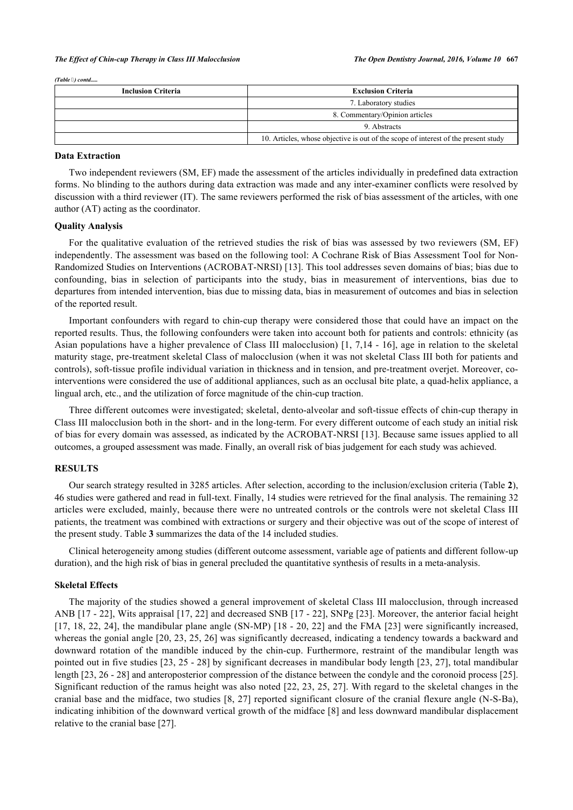*(Table ) contd.....*

| <b>Inclusion Criteria</b> | <b>Exclusion Criteria</b>                                                          |
|---------------------------|------------------------------------------------------------------------------------|
|                           | 7. Laboratory studies                                                              |
|                           | 8. Commentary/Opinion articles                                                     |
|                           | 9. Abstracts                                                                       |
|                           | 10. Articles, whose objective is out of the scope of interest of the present study |

#### **Data Extraction**

Two independent reviewers (SM, EF) made the assessment of the articles individually in predefined data extraction forms. No blinding to the authors during data extraction was made and any inter-examiner conflicts were resolved by discussion with a third reviewer (IT). The same reviewers performed the risk of bias assessment of the articles, with one author (AT) acting as the coordinator.

#### **Quality Analysis**

For the qualitative evaluation of the retrieved studies the risk of bias was assessed by two reviewers (SM, EF) independently. The assessment was based on the following tool: A Cochrane Risk of Bias Assessment Tool for Non-Randomized Studies on Interventions (ACROBAT-NRSI) [\[13](#page-14-11)]. This tool addresses seven domains of bias; bias due to confounding, bias in selection of participants into the study, bias in measurement of interventions, bias due to departures from intended intervention, bias due to missing data, bias in measurement of outcomes and bias in selection of the reported result.

Important confounders with regard to chin-cup therapy were considered those that could have an impact on the reported results. Thus, the following confounders were taken into account both for patients and controls: ethnicity (as Asian populations have a higher prevalence of Class III malocclusion) [\[1](#page-14-0), [7](#page-14-5),[14](#page-14-12) - [16](#page-14-13)], age in relation to the skeletal maturity stage, pre-treatment skeletal Class of malocclusion (when it was not skeletal Class III both for patients and controls), soft-tissue profile individual variation in thickness and in tension, and pre-treatment overjet. Moreover, cointerventions were considered the use of additional appliances, such as an occlusal bite plate, a quad-helix appliance, a lingual arch, etc., and the utilization of force magnitude of the chin-cup traction.

Three different outcomes were investigated; skeletal, dento-alveolar and soft-tissue effects of chin-cup therapy in Class III malocclusion both in the short- and in the long-term. For every different outcome of each study an initial risk of bias for every domain was assessed, as indicated by the ACROBAT-NRSI [[13](#page-14-11)]. Because same issues applied to all outcomes, a grouped assessment was made. Finally, an overall risk of bias judgement for each study was achieved.

## **RESULTS**

Our search strategy resulted in 3285 articles. After selection, according to the inclusion/exclusion criteria (Table **[2](#page-2-2)**), 46 studies were gathered and read in full-text. Finally, 14 studies were retrieved for the final analysis. The remaining 32 articles were excluded, mainly, because there were no untreated controls or the controls were not skeletal Class III patients, the treatment was combined with extractions or surgery and their objective was out of the scope of interest of the present study. Table **[3](#page--1-0)** summarizes the data of the 14 included studies.

Clinical heterogeneity among studies (different outcome assessment, variable age of patients and different follow-up duration), and the high risk of bias in general precluded the quantitative synthesis of results in a meta-analysis.

#### **Skeletal Effects**

The majority of the studies showed a general improvement of skeletal Class III malocclusion, through increased ANB [\[17](#page-14-14) - [22\]](#page-15-0), Wits appraisal [\[17,](#page-14-14) [22](#page-15-0)] and decreased SNB [[17](#page-14-14) - [22\]](#page-15-0), SNPg [\[23\]](#page-15-1). Moreover, the anterior facial height [\[17](#page-14-14), [18](#page-14-15), [22](#page-15-0), [24](#page-15-2)], the mandibular plane angle (SN-MP) [\[18](#page-14-15) - [20](#page-14-16), 22] and the FMA [\[23](#page-15-1)] were significantly increased, whereas the gonial angle [\[20,](#page-14-16) [23](#page-15-1), [25,](#page-15-3) [26\]](#page-15-4) was significantly decreased, indicating a tendency towards a backward and downward rotation of the mandible induced by the chin-cup. Furthermore, restraint of the mandibular length was pointed out in five studies [[23](#page-15-1), [25](#page-15-3) - [28\]](#page-15-5) by significant decreases in mandibular body length [[23,](#page-15-1) [27](#page-15-6)], total mandibular length [[23,](#page-15-1) [26](#page-15-4) - [28](#page-15-5)] and anteroposterior compression of the distance between the condyle and the coronoid process [[25\]](#page-15-3). Significant reduction of the ramus height was also noted [\[22](#page-15-0), [23](#page-15-1), [25](#page-15-3), [27](#page-15-6)]. With regard to the skeletal changes in the cranial base and the midface, two studies [\[8](#page-14-7), [27](#page-15-6)] reported significant closure of the cranial flexure angle (N-S-Ba), indicating inhibition of the downward vertical growth of the midface [[8](#page-14-7)] and less downward mandibular displacement relative to the cranial base [\[27](#page-15-6)].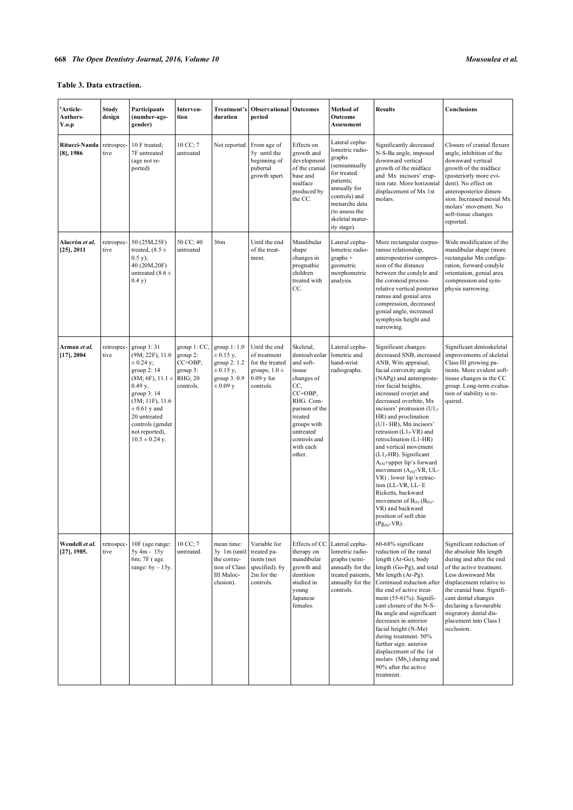# **Table 3. Data extraction.**

| <sup>a</sup> Article-<br>Authors-<br>Y.o.p | <b>Study</b><br>design | Participants<br>(number-age-<br>gender)                                                                                                                                                                                                 | Interven-<br>tion                                                       | Treatment's<br>duration                                                                      | <b>Observational Outcomes</b><br>period                                                            |                                                                                                                                                                                                | Method of<br>Outcome<br>Assessment                                                                                                                                                             | <b>Results</b>                                                                                                                                                                                                                                                                                                                                                                                                                                                                                                                                                                                                                                                    | Conclusions                                                                                                                                                                                                                                                                                                |
|--------------------------------------------|------------------------|-----------------------------------------------------------------------------------------------------------------------------------------------------------------------------------------------------------------------------------------|-------------------------------------------------------------------------|----------------------------------------------------------------------------------------------|----------------------------------------------------------------------------------------------------|------------------------------------------------------------------------------------------------------------------------------------------------------------------------------------------------|------------------------------------------------------------------------------------------------------------------------------------------------------------------------------------------------|-------------------------------------------------------------------------------------------------------------------------------------------------------------------------------------------------------------------------------------------------------------------------------------------------------------------------------------------------------------------------------------------------------------------------------------------------------------------------------------------------------------------------------------------------------------------------------------------------------------------------------------------------------------------|------------------------------------------------------------------------------------------------------------------------------------------------------------------------------------------------------------------------------------------------------------------------------------------------------------|
| Ritucci-Nanda<br>$[8]$ , 1986              | retrospec-<br>tive     | 10 F treated;<br>7F untreated<br>(age not re-<br>ported)                                                                                                                                                                                | 10 CC; 7<br>untreated                                                   | Not reported                                                                                 | From age of<br>5y until the<br>beginning of<br>pubertal<br>growth spurt.                           | Effects on<br>growth and<br>development<br>of the cranial<br>base and<br>midface<br>produced by<br>the CC.                                                                                     | Lateral cepha-<br>lometric radio-<br>graphs<br>(semiannually<br>for treated<br>patients;<br>annually for<br>controls) and<br>menarche data<br>(to assess the<br>skeletal matur-<br>ity stage). | Significantly decreased<br>N-S-Ba angle, imposed<br>downward vertical<br>growth of the midface<br>and Mx incisors' erup-<br>tion rate. More horizontal<br>displacement of Mx 1st<br>molars.                                                                                                                                                                                                                                                                                                                                                                                                                                                                       | Closure of cranial flexure<br>angle, inhibition of the<br>downward vertical<br>growth of the midface<br>(posteriorly more evi-<br>dent). No effect on<br>anteroposterior dimen-<br>sion. Increased mesial Mx<br>molars' movement. No<br>soft-tissue changes<br>reported.                                   |
| Alacrón et al.<br>$[25]$ , 2011            | retrospec-<br>tive     | 50 (25M, 25F)<br>treated, $(8.5 \pm$<br>0.5 y);<br>40 (20M, 20F)<br>untreated (8.6 $\pm$<br>0.4 y)                                                                                                                                      | 50 CC; 40<br>untreated                                                  | 36m                                                                                          | Until the end<br>of the treat-<br>ment.                                                            | Mandibular<br>shape<br>changes in<br>prognathic<br>children<br>treated with<br>CC.                                                                                                             | Lateral cepha-<br>lometric radio-<br>$graphs +$<br>geometric<br>morphometric<br>analysis.                                                                                                      | More rectangular corpus-<br>ramus relationship,<br>anteroposterior compres-<br>sion of the distance<br>between the condyle and<br>the coronoid process-<br>relative vertical posterior<br>ramus and gonial area<br>compression, decreased<br>gonial angle, increased<br>symphysis height and<br>narrowing.                                                                                                                                                                                                                                                                                                                                                        | Wide modification of the<br>mandibular shape (more<br>rectangular Mn configu-<br>ration, forward condyle<br>orientation, gonial area<br>compression and sym-<br>physis narrowing.                                                                                                                          |
| Arman et al.<br>$[17]$ , 2004              | retrospec-<br>tive     | group $1:31$<br>(9M; 22F), 11.0<br>$\pm$ 0.24 y;<br>group 2:14<br>$(8M; 6F), 11.1 \pm$<br>$0.49$ y,<br>group 3:14<br>$(3M; 11F)$ , 11.6<br>$\pm$ 0.61 y and<br>20 untreated<br>controls (gender<br>not reported),<br>$10.5 \pm 0.24$ y. | group 1: CC,<br>group 2:<br>CC+OBP,<br>group 3:<br>RHG; 20<br>controls. | group 1:1.0<br>$\pm 0.15$ y,<br>group 2: 1.2<br>$\pm 0.15$ y,<br>group 3:0.9<br>$\pm 0.09$ y | Until the end<br>of treatment<br>for the treated<br>groups; $1.0 \pm$<br>$0.09$ y for<br>controls. | Skeletal,<br>dentoalveolar<br>and soft-<br>tissue<br>changes of<br>CC,<br>CC+OBP,<br>RHG. Com-<br>parison of the<br>treated<br>groups with<br>untreated<br>controls and<br>with each<br>other. | Lateral cepha-<br>lometric and<br>hand-wrist<br>radiographs.                                                                                                                                   | Significant changes:<br>decreased SNB, increased<br>ANB, Wits appraisal,<br>facial convexity angle<br>(NAPg) and anteroposte-<br>rior facial heights,<br>increased overjet and<br>decreased overbite, Mx<br>incisors' protrusion ( $U1$ <sub>i</sub> -<br>HR) and proclination<br>(U1-HR), Mn incisors'<br>retrusion $(L1I-VR)$ and<br>retroclination (L1-HR)<br>and vertical movement<br>$(L1_i-HR)$ . Significant<br>$A_{(S)}$ +upper lip's forward<br>movement $(A_{(S)}$ -VR, UL-<br>VR), lower lip's retrac-<br>tion (LL-VR, LL-E<br>Ricketts, backward<br>movement of $B_{(S)} (B_{(S)}-$<br>VR) and backward<br>position of soft chin<br>$(Pg_{(S)}-VR)$ . | Significant dentoskeletal<br>improvements of skeletal<br>Class III growing pa-<br>tients. More evident soft-<br>tissue changes in the CC<br>group. Long-term evalua-<br>tion of stability is re-<br>quired.                                                                                                |
| Wendell et al.<br>$[27]$ , 1985.           | retrospec-<br>tive     | 10F (age range:<br>$5y 4m - 15y$<br>6m; 7F (age)<br>range: $6y - 15y$ .                                                                                                                                                                 | 10 CC; 7<br>untreated.                                                  | mean time:<br>3y 1m (until<br>the correc-<br>tion of Class<br>III Maloc-<br>clusion).        | Variable for<br>treated pa-<br>tients (not<br>specified). 6y<br>2m for the<br>controls.            | Effects of CC<br>therapy on<br>mandibular<br>growth and<br>dentition<br>studied in<br>young<br>Japanese<br>females.                                                                            | Lateral cepha-<br>lometric radio-<br>graphs (semi-<br>annually for the<br>treated patients,<br>annually for the<br>controls.                                                                   | 60-68% significant<br>reduction of the ramal<br>length (Ar-Go), body<br>length (Go-Pg), and total<br>Mn length (Ar-Pg).<br>Continued reduction after<br>the end of active treat-<br>ment (55-61%). Signifi-<br>cant closure of the N-S-<br>Ba angle and significant<br>decreases in anterior<br>facial height (N-Me)<br>during treatment. 50%<br>further sign. anterior<br>displacement of the 1st<br>molars $(M6x)$ during and<br>90% after the active<br>treatment.                                                                                                                                                                                             | Significant reduction of<br>the absolute Mn length<br>during and after the end<br>of the active treatment.<br>Less downward Mn<br>displacement relative to<br>the cranial base. Signifi-<br>cant dental changes<br>declaring a favourable<br>migratory dental dis-<br>placement into Class I<br>occlusion. |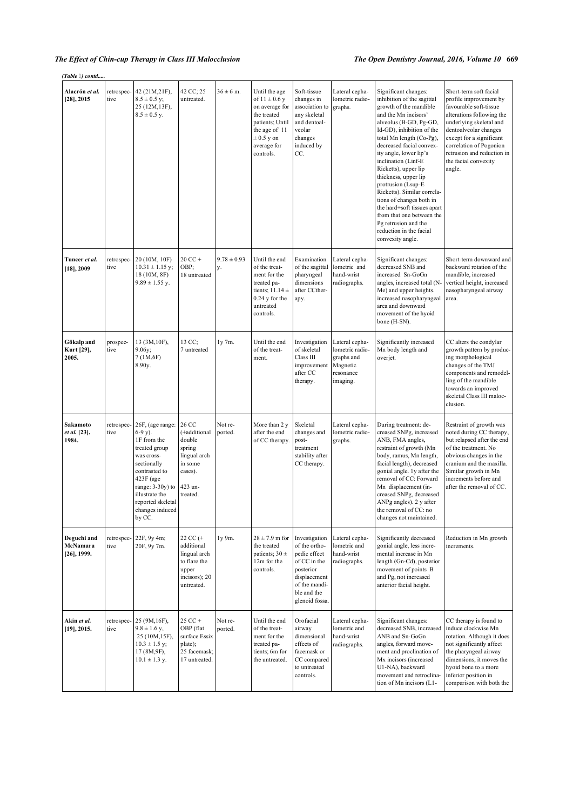## *The Effect of Chin-cup Therapy in Class III Malocclusion The Open Dentistry Journal, 2016, Volume 10* **669**

*(Table ) contd.....*

| Alacrón et al.<br>[28], 2015              | retrospec-<br>tive | 42 (21M, 21F),<br>$8.5 \pm 0.5$ y;<br>25 (12M, 13F),<br>$8.5 \pm 0.5$ y.                                                                                                                                                         | 42 CC; 25<br>untreated.                                                                                | $36 \pm 6$ m.         | Until the age<br>of $11 \pm 0.6$ y<br>on average for<br>the treated<br>patients; Until<br>the age of 11<br>$\pm 0.5$ y on<br>average for<br>controls. | Soft-tissue<br>changes in<br>association to<br>any skeletal<br>and dentoal-<br>veolar<br>changes<br>induced by<br>CC.                         | Lateral cepha-<br>lometric radio-<br>graphs.                                         | Significant changes:<br>inhibition of the sagittal<br>growth of the mandible<br>and the Mn incisors'<br>alveolus (B-GD, Pg-GD,<br>Id-GD), inhibition of the<br>total Mn length (Co-Pg),<br>decreased facial convex-<br>ity angle, lower lip's<br>inclination (Linf-E<br>Ricketts), upper lip<br>thickness, upper lip<br>protrusion (Lsup-E<br>Ricketts). Similar correla-<br>tions of changes both in<br>the hard+soft tissues apart<br>from that one between the<br>Pg retrusion and the<br>reduction in the facial<br>convexity angle. | Short-term soft facial<br>profile improvement by<br>favourable soft-tissue<br>alterations following the<br>underlying skeletal and<br>dentoalveolar changes<br>except for a significant<br>correlation of Pogonion<br>retrusion and reduction in<br>the facial convexity<br>angle. |
|-------------------------------------------|--------------------|----------------------------------------------------------------------------------------------------------------------------------------------------------------------------------------------------------------------------------|--------------------------------------------------------------------------------------------------------|-----------------------|-------------------------------------------------------------------------------------------------------------------------------------------------------|-----------------------------------------------------------------------------------------------------------------------------------------------|--------------------------------------------------------------------------------------|------------------------------------------------------------------------------------------------------------------------------------------------------------------------------------------------------------------------------------------------------------------------------------------------------------------------------------------------------------------------------------------------------------------------------------------------------------------------------------------------------------------------------------------|------------------------------------------------------------------------------------------------------------------------------------------------------------------------------------------------------------------------------------------------------------------------------------|
| Tuncer et al.<br>$[18]$ , 2009            | tive               | retrospec- 20 (10M, 10F)<br>$10.31 \pm 1.15$ y;<br>18 (10M, 8F)<br>$9.89 \pm 1.55$ y.                                                                                                                                            | $20$ CC +<br>OBP;<br>18 untreated                                                                      | $9.78 \pm 0.93$<br>y. | Until the end<br>of the treat-<br>ment for the<br>treated pa-<br>tients; $11.14 \pm$<br>$0.24$ y for the<br>untreated<br>controls.                    | Examination<br>of the sagittal<br>pharyngeal<br>dimensions<br>after CCther-<br>apy.                                                           | Lateral cepha-<br>lometric and<br>hand-wrist<br>radiographs.                         | Significant changes:<br>decreased SNB and<br>increased Sn-GoGn<br>angles, increased total (N-<br>Me) and upper heights.<br>increased nasopharyngeal<br>area and downward<br>movement of the hyoid<br>bone (H-SN).                                                                                                                                                                                                                                                                                                                        | Short-term downward and<br>backward rotation of the<br>mandible, increased<br>vertical height, increased<br>nasopharyngeal airway<br>area.                                                                                                                                         |
| Gökalp and<br>Kurt [29],<br>2005.         | prospec-<br>tive   | 13 (3M, 10F),<br>9.06y;<br>7(1M,6F)<br>8.90y.                                                                                                                                                                                    | 13 CC;<br>7 untreated                                                                                  | 1y 7m.                | Until the end<br>of the treat-<br>ment.                                                                                                               | Investigation<br>of skeletal<br>Class III<br>improvement<br>after CC<br>therapy.                                                              | Lateral cepha-<br>lometric radio-<br>graphs and<br>Magnetic<br>resonance<br>imaging. | Significantly increased<br>Mn body length and<br>overjet.                                                                                                                                                                                                                                                                                                                                                                                                                                                                                | CC alters the condylar<br>growth pattern by produc-<br>ing morphological<br>changes of the TMJ<br>components and remodel-<br>ling of the mandible<br>towards an improved<br>skeletal Class III maloc-<br>clusion.                                                                  |
| Sakamoto<br>et al. [23],<br>1984.         | tive               | retrospec- 26F, (age range:<br>$6-9y$ ).<br>1F from the<br>treated group<br>was cross-<br>sectionally<br>contrasted to<br>$423F$ (age<br>range: $3-30y$ ) to<br>illustrate the<br>reported skeletal<br>changes induced<br>by CC. | 26 CC<br>(+additional<br>double<br>spring<br>lingual arch<br>in some<br>cases).<br>423 un-<br>treated. | Not re-<br>ported.    | More than 2 y<br>after the end<br>of CC therapy.                                                                                                      | Skeletal<br>changes and<br>post-<br>treatment<br>stability after<br>CC therapy.                                                               | Lateral cepha-<br>lometric radio-<br>graphs.                                         | During treatment: de-<br>creased SNPg, increased<br>ANB, FMA angles,<br>restraint of growth (Mn<br>body, ramus, Mn length,<br>facial length), decreased<br>gonial angle. 1y after the<br>removal of CC: Forward<br>Mn displacement (in-<br>creased SNPg, decreased<br>ANPg angles). 2 y after<br>the removal of CC: no<br>changes not maintained.                                                                                                                                                                                        | Restraint of growth was<br>noted during CC therapy,<br>but relapsed after the end<br>of the treatment. No<br>obvious changes in the<br>cranium and the maxilla.<br>Similar growth in Mn<br>increments before and<br>after the removal of CC.                                       |
| Deguchi and<br>McNamara<br>$[26]$ , 1999. | tive               | retrospec- $22F$ , 9y 4m;<br>20F, 9y 7m.                                                                                                                                                                                         | 22 CC (+<br>additional<br>lingual arch<br>to flare the<br>upper<br>incisors); 20<br>untreated.         | 1y 9m.                | $28 \pm 7.9$ m for<br>the treated<br>patients; $30 \pm$<br>12m for the<br>controls.                                                                   | Investigation<br>of the ortho-<br>pedic effect<br>of CC in the<br>posterior<br>displacement<br>of the mandi-<br>ble and the<br>glenoid fossa. | Lateral cepha-<br>lometric and<br>hand-wrist<br>radiographs.                         | Significantly decreased<br>gonial angle, less incre-<br>mental increase in Mn<br>length (Gn-Cd), posterior<br>movement of points B<br>and Pg, not increased<br>anterior facial height.                                                                                                                                                                                                                                                                                                                                                   | Reduction in Mn growth<br>increments.                                                                                                                                                                                                                                              |
| Akin et al.<br>$[19]$ , 2015.             | tive               | retrospec- 25 (9M, 16F),<br>$9.8 \pm 1.6$ y,<br>25 (10M, 15F),<br>$10.3 \pm 1.5$ y;<br>17 (8M,9F),<br>$10.1 \pm 1.3$ y.                                                                                                          | 25 CC +<br>OBP (flat<br>surface Essix<br>plate);<br>25 facemask;<br>17 untreated.                      | Not re-<br>ported.    | Until the end<br>of the treat-<br>ment for the<br>treated pa-<br>tients; 6m for<br>the untreated.                                                     | Orofacial<br>airway<br>dimensional<br>effects of<br>facemask or<br>CC compared<br>to untreated<br>controls.                                   | Lateral cepha-<br>lometric and<br>hand-wrist<br>radiographs.                         | Significant changes:<br>decreased SNB, increased<br>ANB and Sn-GoGn<br>angles, forward move-<br>ment and proclination of<br>Mx incisors (increased<br>U1-NA), backward<br>movement and retroclina-<br>tion of Mn incisors (L1-                                                                                                                                                                                                                                                                                                           | CC therapy is found to<br>induce clockwise Mn<br>rotation. Although it does<br>not significantly affect<br>the pharyngeal airway<br>dimensions, it moves the<br>hyoid bone to a more<br>inferior position in<br>comparison with both the                                           |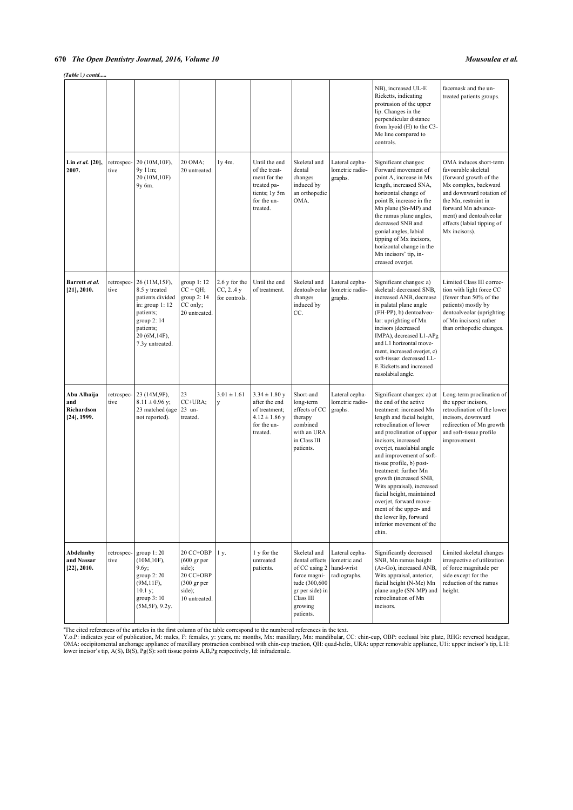## *(Table ) contd.....*

|                                                    |                    |                                                                                                                                                     |                                                                                                                 |                                            |                                                                                                           |                                                                                                                                          |                                                              | NB), increased UL-E<br>Ricketts, indicating<br>protrusion of the upper<br>lip. Changes in the<br>perpendicular distance<br>from hyoid (H) to the C3-<br>Me line compared to<br>controls.                                                                                                                                                                                                                                                                                                                         | facemask and the un-<br>treated patients groups.                                                                                                                                                                                                     |
|----------------------------------------------------|--------------------|-----------------------------------------------------------------------------------------------------------------------------------------------------|-----------------------------------------------------------------------------------------------------------------|--------------------------------------------|-----------------------------------------------------------------------------------------------------------|------------------------------------------------------------------------------------------------------------------------------------------|--------------------------------------------------------------|------------------------------------------------------------------------------------------------------------------------------------------------------------------------------------------------------------------------------------------------------------------------------------------------------------------------------------------------------------------------------------------------------------------------------------------------------------------------------------------------------------------|------------------------------------------------------------------------------------------------------------------------------------------------------------------------------------------------------------------------------------------------------|
| Lin et al. [20],<br>2007.                          | retrospec-<br>tive | 20 (10M, 10F),<br>9y 11m;<br>20 (10M, 10F)<br>9y 6m.                                                                                                | 20 OMA;<br>20 untreated.                                                                                        | $1y$ 4m.                                   | Until the end<br>of the treat-<br>ment for the<br>treated pa-<br>tients; 1y 5m<br>for the un-<br>treated. | Skeletal and<br>dental<br>changes<br>induced by<br>an orthopedic<br>OMA.                                                                 | Lateral cepha-<br>lometric radio-<br>graphs.                 | Significant changes:<br>Forward movement of<br>point A, increase in Mx<br>length, increased SNA,<br>horizontal change of<br>point B, increase in the<br>Mn plane (Sn-MP) and<br>the ramus plane angles,<br>decreased SNB and<br>gonial angles, labial<br>tipping of Mx incisors,<br>horizontal change in the<br>Mn incisors' tip, in-<br>creased overjet.                                                                                                                                                        | OMA induces short-term<br>favourable skeletal<br>(forward growth of the<br>Mx complex, backward<br>and downward rotation of<br>the Mn, restraint in<br>forward Mn advance-<br>ment) and dentoalveolar<br>effects (labial tipping of<br>Mx incisors). |
| Barrett et al.<br>$[21]$ , 2010.                   | retrospec-<br>tive | 26 (11M,15F),<br>8.5 y treated<br>patients divided<br>in: group $1:12$<br>patients;<br>group 2: 14<br>patients;<br>20 (6M, 14F),<br>7.3y untreated. | group 1:12<br>$CC + QH$ ;<br>group 2:14<br>CC only;<br>20 untreated.                                            | 2.6 y for the<br>CC, 2.4y<br>for controls. | Until the end<br>of treatment.                                                                            | Skeletal and<br>dentoalveolar<br>changes<br>induced by<br>CC.                                                                            | Lateral cepha-<br>lometric radio-<br>graphs.                 | Significant changes: a)<br>skeletal: decreased SNB.<br>increased ANB, decrease<br>in palatal plane angle<br>(FH-PP), b) dentoalveo-<br>lar: uprighting of Mn<br>incisors (decreased<br>IMPA), decreased L1-APg<br>and L1 horizontal move-<br>ment, increased overjet, c)<br>soft-tissue: decreased LL-<br>E Ricketts and increased<br>nasolabial angle.                                                                                                                                                          | Limited Class III correc-<br>tion with light force CC<br>(fewer than 50% of the<br>patients) mostly by<br>dentoalveolar (uprighting<br>of Mn incisors) rather<br>than orthopedic changes.                                                            |
| Abu Alhaija<br>and<br>Richardson<br>$[24]$ , 1999. | tive               | retrospec- 23 (14M,9F),<br>$8.11 \pm 0.96$ y;<br>23 matched (age<br>not reported).                                                                  | 23<br>CC+URA;<br>23 un-<br>treated.                                                                             | $3.01 \pm 1.61$<br>y                       | $3.34 \pm 1.80$ y<br>after the end<br>of treatment;<br>$4.12 \pm 1.86$ y<br>for the un-<br>treated.       | Short-and<br>long-term<br>effects of CC<br>therapy<br>combined<br>with an URA<br>in Class III<br>patients.                               | Lateral cepha-<br>lometric radio-<br>graphs.                 | Significant changes: a) at<br>the end of the active<br>treatment: increased Mn<br>length and facial height,<br>retroclination of lower<br>and proclination of upper<br>incisors, increased<br>overjet, nasolabial angle<br>and improvement of soft-<br>tissue profile, b) post-<br>treatment: further Mn<br>growth (increased SNB,<br>Wits appraisal), increased<br>facial height, maintained<br>overjet, forward move-<br>ment of the upper- and<br>the lower lip, forward<br>inferior movement of the<br>chin. | Long-term proclination of<br>the upper incisors,<br>retroclination of the lower<br>incisors, downward<br>redirection of Mn growth<br>and soft-tissue profile<br>improvement.                                                                         |
| Abdelanby<br>and Nassar<br>$[22]$ , 2010.          | retrospec-<br>tive | group $1:20$<br>(10M, 10F),<br>$9.6y$ ;<br>group $2:20$<br>$(9M, 11F)$ ,<br>10.1 y;<br>group 3:10<br>(5M, 5F), 9.2y.                                | 20 CC+OBP<br>$(600 \text{ gr per})$<br>side);<br>20 CC+OBP<br>$(300 \text{ gr per})$<br>side);<br>10 untreated. | 1 y.                                       | 1 y for the<br>untreated<br>patients.                                                                     | Skeletal and<br>dental effects<br>of CC using 2<br>force magni-<br>tude (300,600<br>gr per side) in<br>Class III<br>growing<br>patients. | Lateral cepha-<br>lometric and<br>hand-wrist<br>radiographs. | Significantly decreased<br>SNB, Mn ramus height<br>(Ar-Go), increased ANB,<br>Wits appraisal, anterior,<br>facial height (N-Me) Mn<br>plane angle (SN-MP) and<br>retroclination of Mn<br>incisors.                                                                                                                                                                                                                                                                                                               | Limited skeletal changes<br>irrespective of utilization<br>of force magnitude per<br>side except for the<br>reduction of the ramus<br>height.                                                                                                        |

"The cited references of the articles in the first column of the table correspond to the numbered references in the text.<br>Y.o.P: indicates year of publication, M: males, F: females, y: years, m: months, Mx: maxillary, Mn: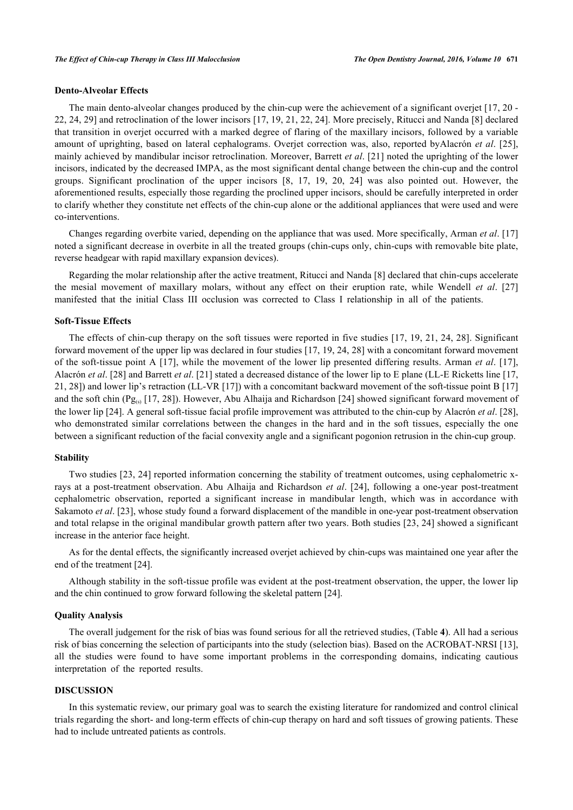## **Dento-Alveolar Effects**

The main dento-alveolar changes produced by the chin-cup were the achievement of a significant overjet [[17](#page-14-14), [20](#page-14-16) - [22,](#page-15-0) [24](#page-15-2), [29](#page-15-7)] and retroclination of the lower incisors [\[17,](#page-14-14) [19,](#page-14-17) [21](#page-15-8), [22](#page-15-0), [24\]](#page-15-2). More precisely, Ritucci and Nanda [\[8](#page-14-7)] declared that transition in overjet occurred with a marked degree of flaring of the maxillary incisors, followed by a variable amount of uprighting, based on lateral cephalograms. Overjet correction was, also, reported byAlacrόn *et al*. [\[25\]](#page-15-3), mainly achieved by mandibular incisor retroclination. Moreover, Barrett *et al*. [[21\]](#page-15-8) noted the uprighting of the lower incisors, indicated by the decreased IMPA, as the most significant dental change between the chin-cup and the control groups. Significant proclination of the upper incisors[[8,](#page-14-7) [17,](#page-14-14) [19,](#page-14-17) [20,](#page-14-16) [24\]](#page-15-2) was also pointed out. However, the aforementioned results, especially those regarding the proclined upper incisors, should be carefully interpreted in order to clarify whether they constitute net effects of the chin-cup alone or the additional appliances that were used and were co-interventions.

Changes regarding overbite varied, depending on the appliance that was used. More specifically, Arman *et al*. [\[17](#page-14-14)] noted a significant decrease in overbite in all the treated groups (chin-cups only, chin-cups with removable bite plate, reverse headgear with rapid maxillary expansion devices).

Regarding the molar relationship after the active treatment, Ritucci and Nanda [\[8](#page-14-7)] declared that chin-cups accelerate the mesial movement of maxillary molars, without any effect on their eruption rate, while Wendell *et al*.[[27](#page-15-6)] manifested that the initial Class III occlusion was corrected to Class I relationship in all of the patients.

#### **Soft-Tissue Effects**

The effects of chin-cup therapy on the soft tissues were reported in five studies [\[17](#page-14-14), [19](#page-14-17), [21](#page-15-8), [24](#page-15-2), [28](#page-15-5)]. Significant forward movement of the upper lip was declared in four studies [[17,](#page-14-14) [19](#page-14-17), [24](#page-15-2), [28\]](#page-15-5) with a concomitant forward movement of the soft-tissue point A [\[17\]](#page-14-14), while the movement of the lower lip presented differing results. Arman *et al*. [\[17\]](#page-14-14), Alacrόn *et al*. [[28\]](#page-15-5) and Barrett *et al*. [\[21](#page-15-8)] stated a decreased distance of the lower lip to E plane (LL-E Ricketts line [[17](#page-14-14), [21,](#page-15-8) [28\]](#page-15-5)) and lower lip's retraction (LL-VR [\[17](#page-14-14)]) with a concomitant backward movement of the soft-tissue point B [\[17](#page-14-14)] and the soft chin (Pg<sub>(s)</sub> [\[17](#page-14-14), [28\]](#page-15-5)). However, Abu Alhaija and Richardson [[24](#page-15-2)] showed significant forward movement of the lower lip [\[24](#page-15-2)]. A general soft-tissue facial profile improvement was attributed to the chin-cup by Alacrόn *et al*. [[28\]](#page-15-5), who demonstrated similar correlations between the changes in the hard and in the soft tissues, especially the one between a significant reduction of the facial convexity angle and a significant pogonion retrusion in the chin-cup group.

#### **Stability**

Two studies [[23](#page-15-1), [24\]](#page-15-2) reported information concerning the stability of treatment outcomes, using cephalometric xrays at a post-treatment observation. Abu Alhaija and Richardson *et al*. [[24](#page-15-2)], following a one-year post-treatment cephalometric observation, reported a significant increase in mandibular length, which was in accordance with Sakamoto *et al*. [\[23](#page-15-1)], whose study found a forward displacement of the mandible in one-year post-treatment observation and total relapse in the original mandibular growth pattern after two years. Both studies [[23,](#page-15-1) [24](#page-15-2)] showed a significant increase in the anterior face height.

As for the dental effects, the significantly increased overjet achieved by chin-cups was maintained one year after the end of the treatment [[24\]](#page-15-2).

Although stability in the soft-tissue profile was evident at the post-treatment observation, the upper, the lower lip and the chin continued to grow forward following the skeletal pattern [\[24](#page-15-2)].

#### **Quality Analysis**

The overall judgement for the risk of bias was found serious for all the retrieved studies, (Table **[4](#page--1-0)**). All had a serious risk of bias concerning the selection of participants into the study (selection bias). Based on the ACROBAT-NRSI [[13\]](#page-14-11), all the studies were found to have some important problems in the corresponding domains, indicating cautious interpretation of the reported results.

#### **DISCUSSION**

In this systematic review, our primary goal was to search the existing literature for randomized and control clinical trials regarding the short- and long-term effects of chin-cup therapy on hard and soft tissues of growing patients. These had to include untreated patients as controls.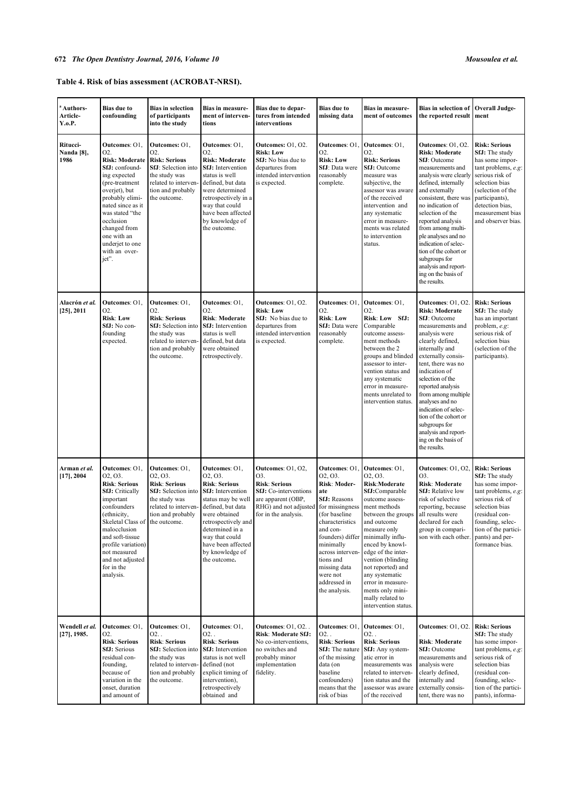# **Table 4. Risk of bias assessment (ACROBAT-NRSI).**

| <sup>a</sup> Authors-<br>Article-<br>Y.o.P. | <b>Bias due to</b><br>confounding                                                                                                                                                                                                                                               | <b>Bias in selection</b><br>of participants<br>into the study                                                                                         | Bias in measure-<br>ment of interven-<br>tions                                                                                                                                                                                                                 | Bias due to depar-<br>tures from intended<br>interventions                                                                                                     | <b>Bias due to</b><br>missing data                                                                                                                                                                                                                                     | <b>Bias in measure-</b><br>ment of outcomes                                                                                                                                                                                                                                                                                                                       | <b>Bias in selection of</b><br>the reported result                                                                                                                                                                                                                                                                                                                                                                             | <b>Overall Judge-</b><br>ment                                                                                                                                                                                                    |
|---------------------------------------------|---------------------------------------------------------------------------------------------------------------------------------------------------------------------------------------------------------------------------------------------------------------------------------|-------------------------------------------------------------------------------------------------------------------------------------------------------|----------------------------------------------------------------------------------------------------------------------------------------------------------------------------------------------------------------------------------------------------------------|----------------------------------------------------------------------------------------------------------------------------------------------------------------|------------------------------------------------------------------------------------------------------------------------------------------------------------------------------------------------------------------------------------------------------------------------|-------------------------------------------------------------------------------------------------------------------------------------------------------------------------------------------------------------------------------------------------------------------------------------------------------------------------------------------------------------------|--------------------------------------------------------------------------------------------------------------------------------------------------------------------------------------------------------------------------------------------------------------------------------------------------------------------------------------------------------------------------------------------------------------------------------|----------------------------------------------------------------------------------------------------------------------------------------------------------------------------------------------------------------------------------|
| Ritucci-<br>Nanda [8],<br>1986              | Outcomes: O1.<br>O2.<br><b>Risk: Moderate</b><br>SfJ: confound-<br>ing expected<br>(pre-treatment<br>overjet), but<br>probably elimi-<br>nated since as it<br>was stated "the<br>occlusion<br>changed from<br>one with an<br>underjet to one<br>with an over-<br>jet".          | Outcomes: O1,<br>O2.<br><b>Risk: Serious</b><br>SfJ: Selection into<br>the study was<br>related to interven-<br>tion and probably<br>the outcome.     | Outcomes: O1,<br>O2.<br><b>Risk: Moderate</b><br><b>SfJ:</b> Intervention<br>status is well<br>defined, but data<br>were determined<br>retrospectively in a<br>way that could<br>have been affected<br>by knowledge of<br>the outcome.                         | Outcomes: 01, 02.<br><b>Risk: Low</b><br><b>SfJ:</b> No bias due to<br>departures from<br>intended intervention<br>is expected.                                | <b>Outcomes: O1</b><br>O <sub>2</sub> .<br><b>Risk: Low</b><br>SfJ: Data were<br>reasonably<br>complete.                                                                                                                                                               | Outcomes: O1,<br>O <sub>2</sub> .<br><b>Risk: Serious</b><br><b>SfJ:</b> Outcome<br>measure was<br>subjective, the<br>assessor was aware<br>of the received<br>intervention and<br>any systematic<br>error in measure-<br>ments was related<br>to intervention<br>status.                                                                                         | Outcomes: O1, O2.<br><b>Risk: Moderate</b><br>SfJ: Outcome<br>measurements and<br>analysis were clearly<br>defined, internally<br>and externally<br>consistent, there was<br>no indication of<br>selection of the<br>reported analysis<br>from among multi-<br>ple analyses and no<br>indication of selec-<br>tion of the cohort or<br>subgroups for<br>analysis and report-<br>ing on the basis of<br>the results.            | <b>Risk: Serious</b><br><b>SfJ:</b> The study<br>has some impor-<br>tant problems, e.g:<br>serious risk of<br>selection bias<br>(selection of the<br>participants),<br>detection bias,<br>measurement bias<br>and observer bias. |
| Alacrón et al.<br>[25], 2011                | Outcomes: O1,<br>O2.<br><b>Risk: Low</b><br>SfJ: No con-<br>founding<br>expected.                                                                                                                                                                                               | Outcomes: O1,<br>O2.<br><b>Risk: Serious</b><br>SfJ: Selection into<br>the study was<br>related to interven-<br>tion and probably<br>the outcome.     | Outcomes: O1,<br>O2.<br><b>Risk: Moderate</b><br><b>SfJ:</b> Intervention<br>status is well<br>defined, but data<br>were obtained<br>retrospectively.                                                                                                          | Outcomes: O1, O2.<br><b>Risk: Low</b><br>SfJ: No bias due to<br>departures from<br>intended intervention<br>is expected.                                       | <b>Outcomes: O1</b><br>O2.<br><b>Risk: Low</b><br>SfJ: Data were<br>reasonably<br>complete.                                                                                                                                                                            | Outcomes: O1.<br>O <sub>2</sub> .<br>Risk: Low SfJ:<br>Comparable<br>outcome assess-<br>ment methods<br>between the 2<br>groups and blinded<br>assessor to inter-<br>vention status and<br>any systematic<br>error in measure-<br>ments unrelated to<br>intervention status.                                                                                      | Outcomes: 01, 02.<br><b>Risk: Moderate</b><br><b>SfJ</b> : Outcome<br>measurements and<br>analysis were<br>clearly defined,<br>internally and<br>externally consis-<br>tent, there was no<br>indication of<br>selection of the<br>reported analysis<br>from among multiple<br>analyses and no<br>indication of selec-<br>tion of the cohort or<br>subgroups for<br>analysis and report-<br>ing on the basis of<br>the results. | <b>Risk: Serious</b><br>SfJ: The study<br>has an important<br>problem, $e.g.$<br>serious risk of<br>selection bias<br>(selection of the<br>participants).                                                                        |
| Arman et al.<br>$[17]$ , 2004               | Outcomes: O1,<br>02, 03.<br><b>Risk: Serious</b><br><b>SfJ:</b> Critically<br>important<br>confounders<br>(ethnicity,<br>Skeletal Class of the outcome.<br>malocclusion<br>and soft-tissue<br>profile variation)<br>not measured<br>and not adjusted<br>for in the<br>analysis. | Outcomes: O1.<br>02, 03.<br><b>Risk: Serious</b><br>SfJ: Selection into<br>the study was<br>related to interven-<br>tion and probably                 | Outcomes: O1,<br>02, 03.<br><b>Risk: Serious</b><br><b>SfJ</b> : Intervention<br>status may be well<br>defined, but data<br>were obtained<br>retrospectively and<br>determined in a<br>way that could<br>have been affected<br>by knowledge of<br>the outcome. | <b>Outcomes: 01, 02,</b><br>O3.<br><b>Risk: Serious</b><br><b>SfJ:</b> Co-interventions<br>are apparent (OBP,<br>RHG) and not adjusted<br>for in the analysis. | <b>Outcomes: O1</b><br>02, 03.<br>Risk: Moder-<br>ate<br>SfJ: Reasons<br>for missingness<br>(for baseline<br>characteristics<br>and con-<br>founders) differ<br>minimally<br>across interven<br>tions and<br>missing data<br>were not<br>addressed in<br>the analysis. | Outcomes: O1.<br>02, 03.<br>Risk:Moderate<br>SfJ:Comparable<br>outcome assess-<br>ment methods<br>between the groups<br>and outcome<br>measure only<br>minimally influ-<br>enced by knowl-<br>edge of the inter-<br>vention (blinding<br>not reported) and<br>any systematic<br>error in measure-<br>ments only mini-<br>mally related to<br>intervention status. | Outcomes: O1, O2.<br>O3.<br>Risk: Moderate<br>SfJ: Relative low<br>risk of selective<br>reporting, because<br>all results were<br>declared for each<br>group in compari-<br>son with each other.                                                                                                                                                                                                                               | <b>Risk: Serious</b><br>SfJ: The study<br>has some impor-<br>tant problems, e.g:<br>serious risk of<br>selection bias<br>(residual con-<br>founding, selec-<br>tion of the partici-<br>pants) and per-<br>formance bias.         |
| Wendell et al.<br>$[27]$ , 1985.            | Outcomes: O1,<br>O <sub>2</sub> .<br><b>Risk: Serious</b><br>SfJ: Serious<br>residual con-<br>founding,<br>because of<br>variation in the<br>onset, duration<br>and amount of                                                                                                   | Outcomes: O1,<br>$O2.$ .<br><b>Risk: Serious</b><br>SfJ: Selection into<br>the study was<br>related to interven-<br>tion and probably<br>the outcome. | Outcomes: O1,<br>$O2.$ .<br><b>Risk: Serious</b><br><b>SfJ:</b> Intervention<br>status is not well<br>defined (not<br>explicit timing of<br>intervention),<br>retrospectively<br>obtained and                                                                  | <b>Outcomes: 01, 02</b><br>Risk: Moderate SfJ:<br>No co-interventions.<br>no switches and<br>probably minor<br>implementation<br>fidelity.                     | <b>Outcomes: O1</b><br>O2.<br><b>Risk: Serious</b><br>SfJ: The nature<br>of the missing<br>data (on<br>baseline<br>confounders)<br>means that the<br>risk of bias                                                                                                      | Outcomes: O1,<br>02.<br><b>Risk: Serious</b><br>SfJ: Any system-<br>atic error in<br>measurements was<br>related to interven-<br>tion status and the<br>assessor was aware<br>of the received                                                                                                                                                                     | Outcomes: O1, O2.<br><b>Risk: Moderate</b><br><b>SfJ:</b> Outcome<br>measurements and<br>analysis were<br>clearly defined,<br>internally and<br>externally consis-<br>tent, there was no                                                                                                                                                                                                                                       | <b>Risk: Serious</b><br>SfJ: The study<br>has some impor-<br>tant problems, e.g:<br>serious risk of<br>selection bias<br>(residual con-<br>founding, selec-<br>tion of the partici-<br>pants), informa-                          |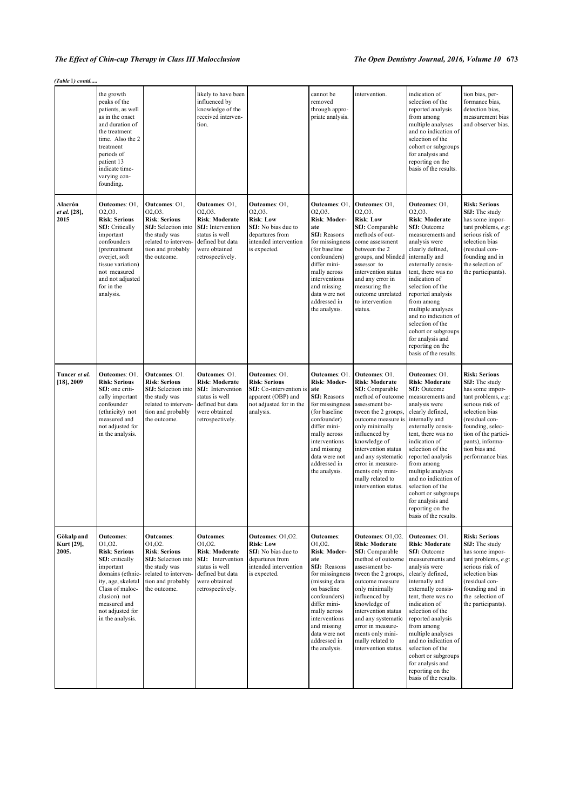## *The Effect of Chin-cup Therapy in Class III Malocclusion The Open Dentistry Journal, 2016, Volume 10* **673**

*(Table ) contd.....*

|                                   | the growth<br>peaks of the<br>patients, as well<br>as in the onset<br>and duration of<br>the treatment<br>time. Also the 2<br>treatment<br>periods of<br>patient 13<br>indicate time-<br>varying con-<br>founding.          |                                                                                                                                                         | likely to have been<br>influenced by<br>knowledge of the<br>received interven-<br>tion.                                                                                    |                                                                                                                                | cannot be<br>removed<br>through appro-<br>priate analysis.                                                                                                                                                                                             | intervention.                                                                                                                                                                                                                                                                                                                      | indication of<br>selection of the<br>reported analysis<br>from among<br>multiple analyses<br>and no indication of<br>selection of the<br>cohort or subgroups<br>for analysis and<br>reporting on the<br>basis of the results.                                                                                                                                                                                             | tion bias, per-<br>formance bias,<br>detection bias,<br>measurement bias<br>and observer bias.                                                                                                                                                       |
|-----------------------------------|-----------------------------------------------------------------------------------------------------------------------------------------------------------------------------------------------------------------------------|---------------------------------------------------------------------------------------------------------------------------------------------------------|----------------------------------------------------------------------------------------------------------------------------------------------------------------------------|--------------------------------------------------------------------------------------------------------------------------------|--------------------------------------------------------------------------------------------------------------------------------------------------------------------------------------------------------------------------------------------------------|------------------------------------------------------------------------------------------------------------------------------------------------------------------------------------------------------------------------------------------------------------------------------------------------------------------------------------|---------------------------------------------------------------------------------------------------------------------------------------------------------------------------------------------------------------------------------------------------------------------------------------------------------------------------------------------------------------------------------------------------------------------------|------------------------------------------------------------------------------------------------------------------------------------------------------------------------------------------------------------------------------------------------------|
| Alacrón<br>et al. [28],<br>2015   | Outcomes: O1,<br>02,03.<br><b>Risk: Serious</b><br><b>SfJ:</b> Critically<br>important<br>confounders<br>(pretreatment<br>overjet, soft<br>tissue variation)<br>not measured<br>and not adjusted<br>for in the<br>analysis. | Outcomes: O1,<br>02,03.<br><b>Risk: Serious</b><br>SfJ: Selection into<br>the study was<br>related to interven-<br>tion and probably<br>the outcome.    | Outcomes: O1,<br>O <sub>2</sub> .O <sub>3</sub> .<br><b>Risk: Moderate</b><br>SfJ: Intervention<br>status is well<br>defined but data<br>were obtained<br>retrospectively. | Outcomes: O1,<br>02.03.<br><b>Risk: Low</b><br>SfJ: No bias due to<br>departures from<br>intended intervention<br>is expected. | Outcomes: O1<br>02,03.<br>Risk: Moder-<br>ate<br><b>SfJ:</b> Reasons<br>for missingness<br>(for baseline)<br>confounders)<br>differ mini-<br>mally across<br>interventions<br>and missing<br>data were not<br>addressed in<br>the analysis.            | Outcomes: O1,<br>02,03.<br><b>Risk: Low</b><br>SfJ: Comparable<br>methods of out-<br>come assessment<br>between the 2<br>groups, and blinded<br>assessor to<br>intervention status<br>and any error in<br>measuring the<br>outcome unrelated<br>to intervention<br>status.                                                         | Outcomes: O1,<br>O2, O3.<br><b>Risk: Moderate</b><br>SfJ: Outcome<br>measurements and<br>analysis were<br>clearly defined,<br>internally and<br>externally consis-<br>tent, there was no<br>indication of<br>selection of the<br>reported analysis<br>from among<br>multiple analyses<br>and no indication of<br>selection of the<br>cohort or subgroups<br>for analysis and<br>reporting on the<br>basis of the results. | <b>Risk: Serious</b><br>SfJ: The study<br>has some impor-<br>tant problems, e.g:<br>serious risk of<br>selection bias<br>(residual con-<br>founding and in<br>the selection of<br>the participants).                                                 |
| Tuncer et al.<br>$[18]$ , 2009    | Outcomes: O1.<br><b>Risk: Serious</b><br>SfJ: one criti-<br>cally important<br>confounder<br>(ethnicity) not<br>measured and<br>not adjusted for<br>in the analysis.                                                        | Outcomes: O1.<br><b>Risk: Serious</b><br>SfJ: Selection into<br>the study was<br>related to interven-<br>tion and probably<br>the outcome.              | Outcomes: O1.<br>Risk: Moderate<br>SfJ: Intervention<br>status is well<br>defined but data<br>were obtained<br>retrospectively.                                            | Outcomes: O1.<br><b>Risk: Serious</b><br>SfJ: Co-intervention is<br>apparent (OBP) and<br>not adjusted for in the<br>analysis. | <b>Outcomes: O1</b><br>Risk: Moder-<br>ate<br><b>SfJ:</b> Reasons<br>for missingness<br>(for baseline<br>confounder)<br>differ mini-<br>mally across<br>interventions<br>and missing<br>data were not<br>addressed in<br>the analysis.                 | Outcomes: O1.<br>Risk: Moderate<br>SfJ: Comparable<br>method of outcome<br>assessment be-<br>tween the 2 groups,<br>outcome measure is<br>only minimally<br>influenced by<br>knowledge of<br>intervention status<br>and any systematic<br>error in measure-<br>ments only mini-<br>mally related to<br>intervention status.        | Outcomes: O1.<br><b>Risk: Moderate</b><br>SfJ: Outcome<br>measurements and<br>analysis were<br>clearly defined,<br>internally and<br>externally consis-<br>tent, there was no<br>indication of<br>selection of the<br>reported analysis<br>from among<br>multiple analyses<br>and no indication of<br>selection of the<br>cohort or subgroups<br>for analysis and<br>reporting on the<br>basis of the results.            | <b>Risk: Serious</b><br><b>SfJ:</b> The study<br>has some impor-<br>tant problems, e.g:<br>serious risk of<br>selection bias<br>(residual con-<br>founding, selec-<br>tion of the partici-<br>pants), informa-<br>tion bias and<br>performance bias. |
| Gökalp and<br>Kurt [29],<br>2005. | <b>Outcomes:</b><br>01.02.<br><b>Risk: Serious</b><br>SfJ: critically<br>important<br>domains (ethnic-<br>ity, age, skeletal<br>Class of maloc-<br>clusion) not<br>measured and<br>not adjusted for<br>in the analysis.     | <b>Outcomes:</b><br>01,02.<br><b>Risk: Serious</b><br>SfJ: Selection into<br>the study was<br>related to interven-<br>tion and probably<br>the outcome. | <b>Outcomes:</b><br>O1, O2.<br><b>Risk: Moderate</b><br>SfJ: Intervention<br>status is well<br>defined but data<br>were obtained<br>retrospectively.                       | Outcomes: 01,02.<br><b>Risk: Low</b><br>SfJ: No bias due to<br>departures from<br>intended intervention<br>is expected.        | <b>Outcomes:</b><br>01,02.<br>Risk: Moder-<br>ate<br>SfJ: Reasons<br>for missingness<br>(missing data<br>on baseline<br>confounders)<br>differ mini-<br>mally across<br>interventions<br>and missing<br>data were not<br>addressed in<br>the analysis. | Outcomes: O1,02.<br><b>Risk: Moderate</b><br>SfJ: Comparable<br>method of outcome<br>assessment be-<br>tween the 2 groups,<br>outcome measure<br>only minimally<br>influenced by<br>knowledge of<br>intervention status<br>and any systematic<br>error in measure-<br>ments only mini-<br>mally related to<br>intervention status. | Outcomes: O1.<br>Risk: Moderate<br>SfJ: Outcome<br>measurements and<br>analysis were<br>clearly defined,<br>internally and<br>externally consis-<br>tent, there was no<br>indication of<br>selection of the<br>reported analysis<br>from among<br>multiple analyses<br>and no indication of<br>selection of the<br>cohort or subgroups<br>for analysis and<br>reporting on the<br>basis of the results.                   | <b>Risk: Serious</b><br><b>SfJ:</b> The study<br>has some impor-<br>tant problems, e.g:<br>serious risk of<br>selection bias<br>(residual con-<br>founding and in<br>the selection of<br>the participants).                                          |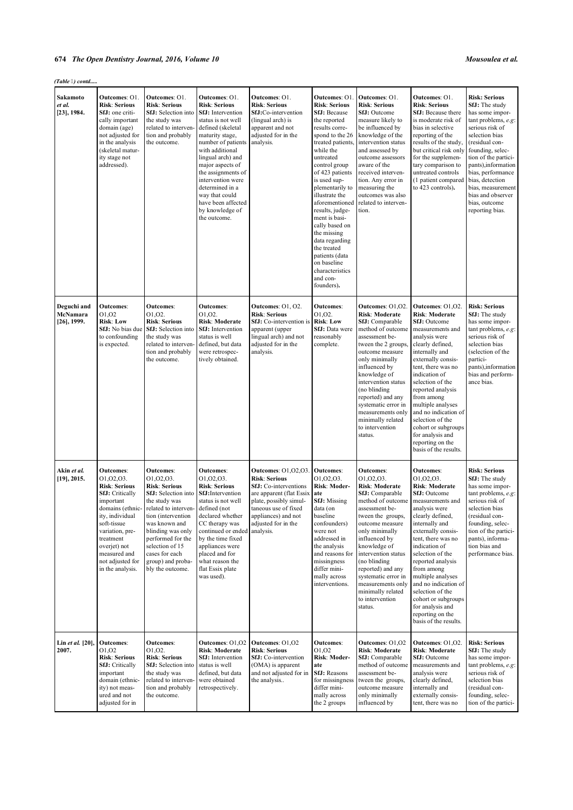| (Table 6) contd                           |                                                                                                                                                                                                                                                            |                                                                                                                                                                                                                                                                                      |                                                                                                                                                                                                                                                                                                                                                            |                                                                                                                                                                                                                      |                                                                                                                                                                                                                                                                                                                                                                                                                                                                       |                                                                                                                                                                                                                                                                                                                                                                 |                                                                                                                                                                                                                                                                                                                                                                                                                                |                                                                                                                                                                                                                                                                                                                                  |  |  |
|-------------------------------------------|------------------------------------------------------------------------------------------------------------------------------------------------------------------------------------------------------------------------------------------------------------|--------------------------------------------------------------------------------------------------------------------------------------------------------------------------------------------------------------------------------------------------------------------------------------|------------------------------------------------------------------------------------------------------------------------------------------------------------------------------------------------------------------------------------------------------------------------------------------------------------------------------------------------------------|----------------------------------------------------------------------------------------------------------------------------------------------------------------------------------------------------------------------|-----------------------------------------------------------------------------------------------------------------------------------------------------------------------------------------------------------------------------------------------------------------------------------------------------------------------------------------------------------------------------------------------------------------------------------------------------------------------|-----------------------------------------------------------------------------------------------------------------------------------------------------------------------------------------------------------------------------------------------------------------------------------------------------------------------------------------------------------------|--------------------------------------------------------------------------------------------------------------------------------------------------------------------------------------------------------------------------------------------------------------------------------------------------------------------------------------------------------------------------------------------------------------------------------|----------------------------------------------------------------------------------------------------------------------------------------------------------------------------------------------------------------------------------------------------------------------------------------------------------------------------------|--|--|
| Sakamoto<br>et al.<br>$[23]$ , 1984.      | <b>Outcomes: O1</b><br><b>Risk: Serious</b><br>SfJ: one criti-<br>cally important<br>domain (age)<br>not adjusted for<br>in the analysis<br>(skeletal matur-<br>ity stage not<br>addressed).                                                               | Outcomes: O1.<br><b>Risk: Serious</b><br>SfJ: Selection into<br>the study was<br>related to interven-<br>tion and probably<br>the outcome.                                                                                                                                           | Outcomes: O1.<br><b>Risk: Serious</b><br><b>SfJ:</b> Intervention<br>status is not well<br>defined (skeletal<br>maturity stage,<br>number of patients<br>with additional<br>lingual arch) and<br>major aspects of<br>the assignments of<br>intervention were<br>determined in a<br>way that could<br>have been affected<br>by knowledge of<br>the outcome. | Outcomes: O1.<br><b>Risk: Serious</b><br>SfJ:Co-intervention<br>(lingual arch) is<br>apparent and not<br>adjusted for in the<br>analysis.                                                                            | <b>Outcomes: O1</b><br><b>Risk: Serious</b><br><b>SfJ: Because</b><br>the reported<br>results corre-<br>spond to the 26<br>treated patients.<br>while the<br>untreated<br>control group<br>of 423 patients<br>is used sup-<br>plementarily to<br>illustrate the<br>aforementioned<br>results, judge-<br>ment is basi-<br>cally based on<br>the missing<br>data regarding<br>the treated<br>patients (data<br>on baseline<br>characteristics<br>and con-<br>founders). | Outcomes: O1.<br><b>Risk: Serious</b><br>SfJ: Outcome<br>measure likely to<br>be influenced by<br>knowledge of the<br>intervention status<br>and assessed by<br>outcome assessors<br>aware of the<br>received interven-<br>tion. Any error in<br>measuring the<br>outcomes was also<br>related to interven-<br>tion.                                            | Outcomes: O1.<br><b>Risk: Serious</b><br><b>SfJ:</b> Because there<br>is moderate risk of<br>bias in selective<br>reporting of the<br>results of the study,<br>but critical risk only<br>for the supplemen-<br>tary comparison to<br>untreated controls<br>(1 patient compared<br>to 423 controls).                                                                                                                            | <b>Risk: Serious</b><br>SfJ: The study<br>has some impor-<br>tant problems, e.g:<br>serious risk of<br>selection bias<br>(residual con-<br>founding, selec-<br>tion of the partici-<br>pants), information<br>bias, performance<br>bias, detection<br>bias, measurement<br>bias and observer<br>bias, outcome<br>reporting bias. |  |  |
| Deguchi and<br>McNamara<br>$[26]$ , 1999. | Outcomes:<br>01,02<br><b>Risk: Low</b><br>SfJ: No bias due<br>to confounding<br>is expected.                                                                                                                                                               | <b>Outcomes:</b><br>01,02.<br><b>Risk: Serious</b><br>SfJ: Selection into<br>the study was<br>related to interven-<br>tion and probably<br>the outcome.                                                                                                                              | <b>Outcomes:</b><br>01,02.<br>Risk: Moderate<br><b>SfJ:</b> Intervention<br>status is well<br>defined, but data<br>were retrospec-<br>tively obtained.                                                                                                                                                                                                     | Outcomes: O1, O2.<br><b>Risk: Serious</b><br>SfJ: Co-intervention is<br>apparent (upper<br>lingual arch) and not<br>adjusted for in the<br>analysis.                                                                 | <b>Outcomes:</b><br>O1, O2.<br><b>Risk: Low</b><br><b>SfJ:</b> Data were<br>reasonably<br>complete.                                                                                                                                                                                                                                                                                                                                                                   | Outcomes: 01,02<br>Risk: Moderate<br>SfJ: Comparable<br>method of outcome<br>assessment be-<br>tween the 2 groups.<br>outcome measure<br>only minimally<br>influenced by<br>knowledge of<br>intervention status<br>(no blinding<br>reported) and any<br>systematic error in<br>measurements only<br>minimally related<br>to intervention<br>status.             | Outcomes: 01,02.<br>Risk: Moderate<br><b>SfJ:</b> Outcome<br>measurements and<br>analysis were<br>clearly defined,<br>internally and<br>externally consis-<br>tent, there was no<br>indication of<br>selection of the<br>reported analysis<br>from among<br>multiple analyses<br>and no indication of<br>selection of the<br>cohort or subgroups<br>for analysis and<br>reporting on the<br>basis of the results.              | <b>Risk: Serious</b><br><b>SfJ:</b> The study<br>has some impor-<br>tant problems, e.g:<br>serious risk of<br>selection bias<br>(selection of the<br>partici-<br>pants), information<br>bias and perform-<br>ance bias.                                                                                                          |  |  |
| Akin <i>et al</i> .<br>$[19]$ , 2015.     | <b>Outcomes:</b><br>01,02,03.<br><b>Risk: Serious</b><br><b>SfJ:</b> Critically<br>important<br>domains (ethnic-<br>ity, individual<br>soft-tissue<br>variation, pre-<br>treatment<br>overjet) not<br>measured and<br>not adjusted for<br>in the analysis. | <b>Outcomes:</b><br>01,02,03.<br>Risk: Serious<br><b>SfJ:</b> Selection into<br>the study was<br>related to interven-<br>tion (intervention<br>was known and<br>blinding was only<br>performed for the<br>selection of 15<br>cases for each<br>group) and proba-<br>bly the outcome. | <b>Outcomes:</b><br>01.02.03.<br><b>Risk: Serious</b><br><b>SfJ:</b> Intervention<br>status is not well<br>defined (not<br>declared whether<br>CC therapy was<br>continued or ended<br>by the time fixed<br>appliances were<br>placed and for<br>what reason the<br>flat Essix plate<br>was used).                                                         | <b>Outcomes: 01,02,03.</b><br><b>Risk: Serious</b><br>SfJ: Co-interventions<br>are apparent (flat Essix<br>plate, possibly simul-<br>taneous use of fixed<br>appliances) and not<br>adjusted for in the<br>analysis. | <b>Outcomes:</b><br>01,02,03.<br>Risk: Moder-<br>ate<br><b>SfJ:</b> Missing<br>data (on<br>baseline<br>confounders)<br>were not<br>addressed in<br>the analysis<br>and reasons for<br>missingness<br>differ mini-<br>mally across<br>interventions.                                                                                                                                                                                                                   | <b>Outcomes:</b><br>01,02,03.<br>Risk: Moderate<br>SfJ: Comparable<br>method of outcome<br>assessment be-<br>tween the groups,<br>outcome measure<br>only minimally<br>influenced by<br>knowledge of<br>intervention status<br>(no blinding<br>reported) and any<br>systematic error in<br>measurements only<br>minimally related<br>to intervention<br>status. | <b>Outcomes:</b><br>01,02,03.<br>Risk: Moderate<br><b>SfJ:</b> Outcome<br>measurements and<br>analysis were<br>clearly defined,<br>internally and<br>externally consis-<br>tent, there was no<br>indication of<br>selection of the<br>reported analysis<br>from among<br>multiple analyses<br>and no indication of<br>selection of the<br>cohort or subgroups<br>for analysis and<br>reporting on the<br>basis of the results. | <b>Risk: Serious</b><br><b>SfJ:</b> The study<br>has some impor-<br>tant problems, e.g.<br>serious risk of<br>selection bias<br>(residual con-<br>founding, selec-<br>tion of the partici-<br>pants), informa-<br>tion bias and<br>performance bias.                                                                             |  |  |
| Lin et al. [20],<br>2007.                 | <b>Outcomes:</b><br>01,02<br><b>Risk: Serious</b><br><b>SfJ:</b> Critically<br>important<br>domain (ethnic-<br>ity) not meas-<br>ured and not<br>adjusted for in                                                                                           | <b>Outcomes:</b><br>01,02.<br><b>Risk: Serious</b><br>SfJ: Selection into<br>the study was<br>related to interven-<br>tion and probably<br>the outcome.                                                                                                                              | Outcomes: 01,02<br>Risk: Moderate<br>SfJ: Intervention<br>status is well<br>defined, but data<br>were obtained<br>retrospectively.                                                                                                                                                                                                                         | Outcomes: 01,02<br><b>Risk: Serious</b><br>SfJ: Co-intervention<br>(OMA) is apparent<br>and not adjusted for in<br>the analysis                                                                                      | <b>Outcomes:</b><br>01,02<br>Risk: Moder-<br>ate<br><b>SfJ:</b> Reasons<br>for missingness<br>differ mini-<br>mally across<br>the 2 groups                                                                                                                                                                                                                                                                                                                            | Outcomes: 01,02<br>Risk: Moderate<br>SfJ: Comparable<br>method of outcome<br>assessment be-<br>tween the groups,<br>outcome measure<br>only minimally<br>influenced by                                                                                                                                                                                          | Outcomes: 01,02.<br><b>Risk: Moderate</b><br><b>SfJ:</b> Outcome<br>measurements and<br>analysis were<br>clearly defined,<br>internally and<br>externally consis-<br>tent, there was no                                                                                                                                                                                                                                        | <b>Risk: Serious</b><br><b>SfJ:</b> The study<br>has some impor-<br>tant problems, e.g:<br>serious risk of<br>selection bias<br>(residual con-<br>founding, selec-<br>tion of the partici-                                                                                                                                       |  |  |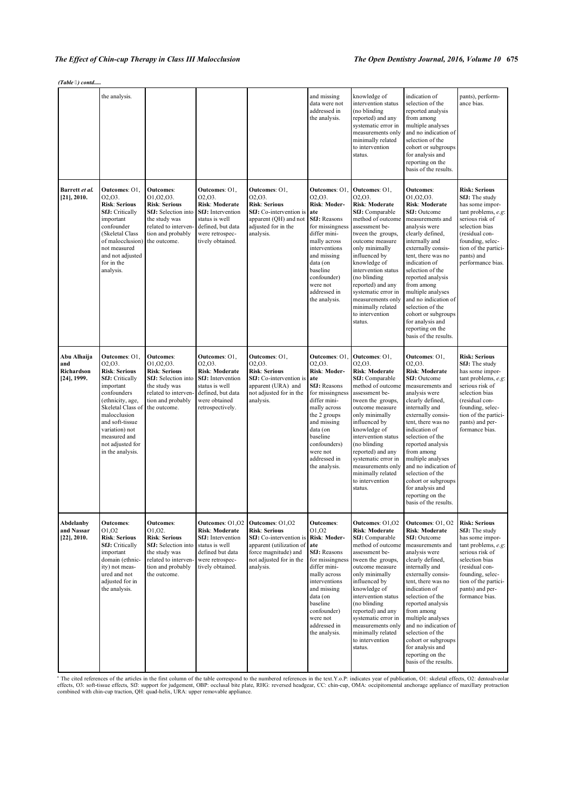*(Table ) contd.....*

|                                                    | the analysis.                                                                                                                                                                                                                                               |                                                                                                                                                            |                                                                                                                                                      |                                                                                                                                                                | and missing<br>data were not<br>addressed in<br>the analysis.                                                                                                                                                                                      | knowledge of<br>intervention status<br>(no blinding<br>reported) and any<br>systematic error in<br>measurements only<br>minimally related<br>to intervention<br>status.                                                                                                                                                                                   | indication of<br>selection of the<br>reported analysis<br>from among<br>multiple analyses<br>and no indication of<br>selection of the<br>cohort or subgroups<br>for analysis and<br>reporting on the<br>basis of the results.                                                                                                                                                                                                   | pants), perform-<br>ance bias.                                                                                                                                                                                           |
|----------------------------------------------------|-------------------------------------------------------------------------------------------------------------------------------------------------------------------------------------------------------------------------------------------------------------|------------------------------------------------------------------------------------------------------------------------------------------------------------|------------------------------------------------------------------------------------------------------------------------------------------------------|----------------------------------------------------------------------------------------------------------------------------------------------------------------|----------------------------------------------------------------------------------------------------------------------------------------------------------------------------------------------------------------------------------------------------|-----------------------------------------------------------------------------------------------------------------------------------------------------------------------------------------------------------------------------------------------------------------------------------------------------------------------------------------------------------|---------------------------------------------------------------------------------------------------------------------------------------------------------------------------------------------------------------------------------------------------------------------------------------------------------------------------------------------------------------------------------------------------------------------------------|--------------------------------------------------------------------------------------------------------------------------------------------------------------------------------------------------------------------------|
| Barrett et al.<br>$[21]$ , 2010.                   | Outcomes: O1,<br>02,03.<br><b>Risk: Serious</b><br><b>SfJ:</b> Critically<br>important<br>confounder<br>(Skeletal Class<br>of malocclusion)<br>not measured<br>and not adjusted<br>for in the<br>analysis.                                                  | <b>Outcomes:</b><br>01.02.03.<br><b>Risk: Serious</b><br>SfJ: Selection into<br>the study was<br>related to interven-<br>tion and probably<br>the outcome. | Outcomes: O1,<br>02,03.<br>Risk: Moderate<br><b>SfJ</b> : Intervention<br>status is well<br>defined, but data<br>were retrospec-<br>tively obtained. | Outcomes: O1,<br>02,03.<br><b>Risk: Serious</b><br>SfJ: Co-intervention is<br>apparent (QH) and not<br>adjusted for in the<br>analysis.                        | <b>Outcomes: O1</b><br>02.03.<br>Risk: Moder-<br>ate<br><b>SfJ: Reasons</b><br>for missingness<br>differ mini-<br>mally across<br>interventions<br>and missing<br>data (on<br>baseline<br>confounder)<br>were not<br>addressed in<br>the analysis. | Outcomes: O1,<br>02,03.<br>Risk: Moderate<br>SfJ: Comparable<br>method of outcome<br>assessment be-<br>tween the groups,<br>outcome measure<br>only minimally<br>influenced by<br>knowledge of<br>intervention status<br>(no blinding<br>reported) and any<br>systematic error in<br>measurements only<br>minimally related<br>to intervention<br>status. | <b>Outcomes:</b><br>01,02,03.<br><b>Risk: Moderate</b><br>SfJ: Outcome<br>measurements and<br>analysis were<br>clearly defined,<br>internally and<br>externally consis-<br>tent, there was no<br>indication of<br>selection of the<br>reported analysis<br>from among<br>multiple analyses<br>and no indication of<br>selection of the<br>cohort or subgroups<br>for analysis and<br>reporting on the<br>basis of the results.  | <b>Risk: Serious</b><br>SfJ: The study<br>has some impor-<br>tant problems, e.g:<br>serious risk of<br>selection bias<br>(residual con-<br>founding, selec-<br>tion of the partici-<br>pants) and<br>performance bias.   |
| Abu Alhaija<br>and<br>Richardson<br>$[24]$ , 1999. | Outcomes: O1,<br>02,03.<br><b>Risk: Serious</b><br><b>SfJ:</b> Critically<br>important<br>confounders<br>(ethnicity, age,<br>Skeletal Class of<br>malocclusion<br>and soft-tissue<br>variation) not<br>measured and<br>not adjusted for<br>in the analysis. | <b>Outcomes:</b><br>01,02,03.<br><b>Risk: Serious</b><br>SfJ: Selection into<br>the study was<br>related to interven-<br>tion and probably<br>the outcome. | Outcomes: O1,<br>02,03.<br>Risk: Moderate<br><b>SfJ</b> : Intervention<br>status is well<br>defined, but data<br>were obtained<br>retrospectively.   | Outcomes: O1.<br>02,03.<br><b>Risk: Serious</b><br>SfJ: Co-intervention is<br>apparent (URA) and<br>not adjusted for in the<br>analysis.                       | <b>Outcomes: O1</b><br>02,03.<br>Risk: Moder-<br>ate<br><b>SfJ:</b> Reasons<br>for missingness<br>differ mini-<br>mally across<br>the 2 groups<br>and missing<br>data (on<br>baseline<br>confounders)<br>were not<br>addressed in<br>the analysis. | Outcomes: O1,<br>02,03.<br>Risk: Moderate<br>SfJ: Comparable<br>method of outcome<br>assessment be-<br>tween the groups,<br>outcome measure<br>only minimally<br>influenced by<br>knowledge of<br>intervention status<br>(no blinding<br>reported) and any<br>systematic error in<br>measurements only<br>minimally related<br>to intervention<br>status. | Outcomes: O1,<br>02,03.<br><b>Risk: Moderate</b><br><b>SfJ:</b> Outcome<br>measurements and<br>analysis were<br>clearly defined,<br>internally and<br>externally consis-<br>tent, there was no<br>indication of<br>selection of the<br>reported analysis<br>from among<br>multiple analyses<br>and no indication of<br>selection of the<br>cohort or subgroups<br>for analysis and<br>reporting on the<br>basis of the results. | <b>Risk: Serious</b><br>SfJ: The study<br>has some impor-<br>tant problems, e.g:<br>serious risk of<br>selection bias<br>(residual con-<br>founding, selec-<br>tion of the partici-<br>pants) and per-<br>formance bias. |
| Abdelanby<br>and Nassar<br>$[22]$ , 2010.          | <b>Outcomes:</b><br>01,02<br><b>Risk: Serious</b><br><b>SfJ:</b> Critically<br>important<br>domain (ethnic-<br>ity) not meas-<br>ured and not<br>adjusted for in<br>the analysis.                                                                           | <b>Outcomes:</b><br>01,02.<br><b>Risk: Serious</b><br>SfJ: Selection into<br>the study was<br>related to interven-<br>tion and probably<br>the outcome.    | Outcomes: 01,02<br>Risk: Moderate<br><b>SfJ:</b> Intervention<br>status is well<br>defined but data<br>were retrospec-<br>tively obtained.           | Outcomes: 01,02<br><b>Risk: Serious</b><br>SfJ: Co-intervention is<br>apparent (utilization of<br>force magnitude) and<br>not adjusted for in the<br>analysis. | <b>Outcomes:</b><br>01,02<br>Risk: Moder-<br>ate<br><b>SfJ:</b> Reasons<br>for missingness<br>differ mini-<br>mally across<br>interventions<br>and missing<br>data (on<br>baseline<br>confounder)<br>were not<br>addressed in<br>the analysis.     | Outcomes: O1,02<br><b>Risk: Moderate</b><br>SfJ: Comparable<br>method of outcome<br>assessment be-<br>tween the groups,<br>outcome measure<br>only minimally<br>influenced by<br>knowledge of<br>intervention status<br>(no blinding<br>reported) and any<br>systematic error in<br>measurements only<br>minimally related<br>to intervention<br>status.  | Outcomes: O1, O2<br>Risk: Moderate<br>SfJ: Outcome<br>measurements and<br>analysis were<br>clearly defined,<br>internally and<br>externally consis-<br>tent, there was no<br>indication of<br>selection of the<br>reported analysis<br>from among<br>multiple analyses<br>and no indication of<br>selection of the<br>cohort or subgroups<br>for analysis and<br>reporting on the<br>basis of the results.                      | <b>Risk: Serious</b><br>SfJ: The study<br>has some impor-<br>tant problems, e.g:<br>serious risk of<br>selection bias<br>(residual con-<br>founding, selec-<br>tion of the partici-<br>pants) and per-<br>formance bias. |

<sup>a</sup> The cited references of the articles in the first column of the table correspond to the numbered references in the text. Y.o.P: indicates year of publication, O1: skeletal effects, O2: dentoalveolar energy and the text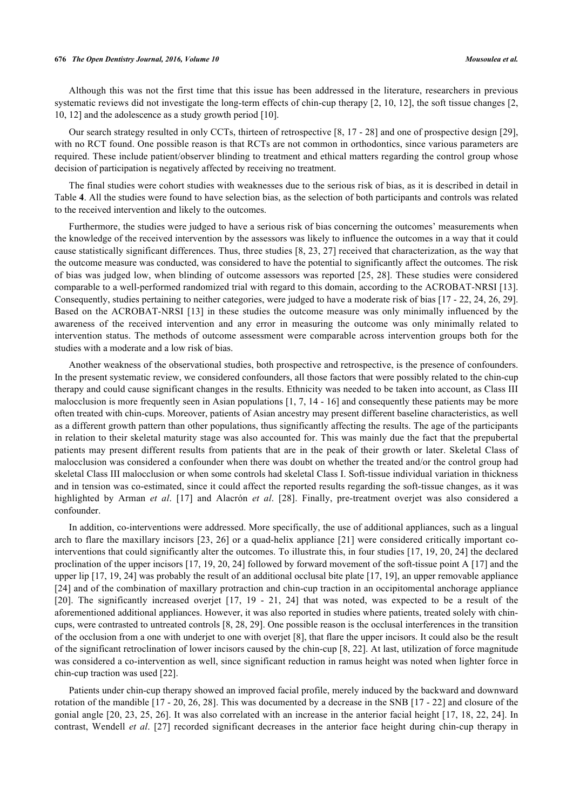Although this was not the first time that this issue has been addressed in the literature, researchers in previous systematic reviews did not investigate the long-term effects of chin-cup therapy [[2,](#page-14-6) [10](#page-14-9), [12](#page-14-10)], the soft tissue changes [[2](#page-14-6), [10,](#page-14-9) [12\]](#page-14-10) and the adolescence as a study growth period [\[10](#page-14-9)].

Our search strategy resulted in only CCTs, thirteen of retrospective [\[8](#page-14-7), [17](#page-14-14) - [28](#page-15-5)] and one of prospective design [[29\]](#page-15-7), with no RCT found. One possible reason is that RCTs are not common in orthodontics, since various parameters are required. These include patient/observer blinding to treatment and ethical matters regarding the control group whose decision of participation is negatively affected by receiving no treatment.

The final studies were cohort studies with weaknesses due to the serious risk of bias, as it is described in detail in Table **[4](#page--1-0)**. All the studies were found to have selection bias, as the selection of both participants and controls was related to the received intervention and likely to the outcomes.

Furthermore, the studies were judged to have a serious risk of bias concerning the outcomes' measurements when the knowledge of the received intervention by the assessors was likely to influence the outcomes in a way that it could cause statistically significant differences. Thus, three studies [\[8](#page-14-7), [23,](#page-15-1) [27](#page-15-6)] received that characterization, as the way that the outcome measure was conducted, was considered to have the potential to significantly affect the outcomes. The risk of bias was judged low, when blinding of outcome assessors was reported [\[25,](#page-15-3) [28\]](#page-15-5). These studies were considered comparable to a well-performed randomized trial with regard to this domain, according to the ACROBAT-NRSI [[13\]](#page-14-11). Consequently, studies pertaining to neither categories, were judged to have a moderate risk of bias [[17](#page-14-14) - [22](#page-15-0), [24,](#page-15-2) [26,](#page-15-4) [29\]](#page-15-7). Based on the ACROBAT-NRSI [\[13](#page-14-11)] in these studies the outcome measure was only minimally influenced by the awareness of the received intervention and any error in measuring the outcome was only minimally related to intervention status. The methods of outcome assessment were comparable across intervention groups both for the studies with a moderate and a low risk of bias.

Another weakness of the observational studies, both prospective and retrospective, is the presence of confounders. In the present systematic review, we considered confounders, all those factors that were possibly related to the chin-cup therapy and could cause significant changes in the results. Ethnicity was needed to be taken into account, as Class III malocclusion is more frequently seen in Asian populations  $[1, 7, 14 - 16]$  $[1, 7, 14 - 16]$  $[1, 7, 14 - 16]$  $[1, 7, 14 - 16]$  $[1, 7, 14 - 16]$  $[1, 7, 14 - 16]$  $[1, 7, 14 - 16]$  $[1, 7, 14 - 16]$  and consequently these patients may be more often treated with chin-cups. Moreover, patients of Asian ancestry may present different baseline characteristics, as well as a different growth pattern than other populations, thus significantly affecting the results. The age of the participants in relation to their skeletal maturity stage was also accounted for. This was mainly due the fact that the prepubertal patients may present different results from patients that are in the peak of their growth or later. Skeletal Class of malocclusion was considered a confounder when there was doubt on whether the treated and/or the control group had skeletal Class III malocclusion or when some controls had skeletal Class I. Soft-tissue individual variation in thickness and in tension was co-estimated, since it could affect the reported results regarding the soft-tissue changes, as it was highlighted by Arman *et al*.[[17\]](#page-14-14) and Alacrόn *et al*.[[28](#page-15-5)]. Finally, pre-treatment overjet was also considered a confounder.

In addition, co-interventions were addressed. More specifically, the use of additional appliances, such as a lingual arch to flare the maxillary incisors [\[23,](#page-15-1) [26\]](#page-15-4) or a quad-helix appliance [[21\]](#page-15-8) were considered critically important cointerventions that could significantly alter the outcomes. To illustrate this, in four studies [[17,](#page-14-14) [19](#page-14-17), [20,](#page-14-16) [24\]](#page-15-2) the declared proclination of the upper incisors [\[17](#page-14-14), [19](#page-14-17), [20](#page-14-16), [24](#page-15-2)] followed by forward movement of the soft-tissue point A [\[17](#page-14-14)] and the upper lip [[17,](#page-14-14) [19,](#page-14-17) [24\]](#page-15-2) was probably the result of an additional occlusal bite plate [\[17](#page-14-14), [19\]](#page-14-17), an upper removable appliance [\[24](#page-15-2)] and of the combination of maxillary protraction and chin-cup traction in an occipitomental anchorage appliance [\[20](#page-14-16)]. The significantly increased overjet [\[17,](#page-14-14) [19](#page-14-17) - [21](#page-15-8), [24](#page-15-2)] that was noted, was expected to be a result of the aforementioned additional appliances. However, it was also reported in studies where patients, treated solely with chincups, were contrasted to untreated controls [\[8,](#page-14-7) [28,](#page-15-5) [29\]](#page-15-7). One possible reason is the occlusal interferences in the transition of the occlusion from a one with underjet to one with overjet [[8\]](#page-14-7), that flare the upper incisors. It could also be the result of the significant retroclination of lower incisors caused by the chin-cup [\[8](#page-14-7), [22\]](#page-15-0). At last, utilization of force magnitude was considered a co-intervention as well, since significant reduction in ramus height was noted when lighter force in chin-cup traction was used [\[22](#page-15-0)].

Patients under chin-cup therapy showed an improved facial profile, merely induced by the backward and downward rotation of the mandible [\[17](#page-14-14) - [20](#page-14-16), [26,](#page-15-4) [28](#page-15-5)]. This was documented by a decrease in the SNB [\[17](#page-14-14) - [22\]](#page-15-0) and closure of the gonial angle [[20](#page-14-16), [23](#page-15-1), [25](#page-15-3), [26\]](#page-15-4). It was also correlated with an increase in the anterior facial height [[17](#page-14-14), [18](#page-14-15), [22](#page-15-0), [24](#page-15-2)]. In contrast, Wendell *et al*. [\[27\]](#page-15-6) recorded significant decreases in the anterior face height during chin-cup therapy in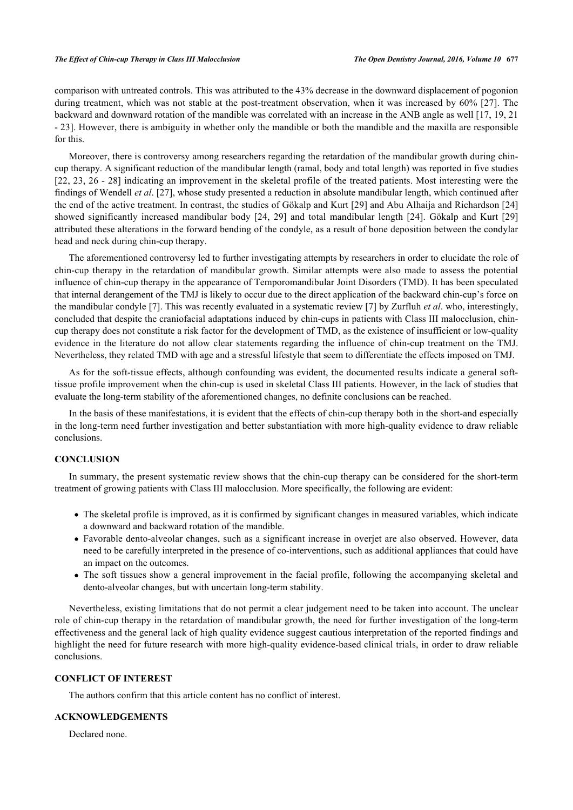comparison with untreated controls. This was attributed to the 43% decrease in the downward displacement of pogonion during treatment, which was not stable at the post-treatment observation, when it was increased by 60% [[27](#page-15-6)]. The backward and downward rotation of the mandible was correlated with an increase in the ANB angle as well [\[17](#page-14-14), [19](#page-14-17), [21](#page-15-8) - [23\]](#page-15-1). However, there is ambiguity in whether only the mandible or both the mandible and the maxilla are responsible for this.

Moreover, there is controversy among researchers regarding the retardation of the mandibular growth during chincup therapy. A significant reduction of the mandibular length (ramal, body and total length) was reported in five studies [\[22](#page-15-0), [23](#page-15-1), [26](#page-15-4) - [28](#page-15-5)] indicating an improvement in the skeletal profile of the treated patients. Most interesting were the findings of Wendell *et al*. [[27\]](#page-15-6), whose study presented a reduction in absolute mandibular length, which continued after the end of the active treatment. In contrast, the studies of Gökalp and Kurt [\[29](#page-15-7)] and Abu Alhaija and Richardson [\[24](#page-15-2)] showed significantly increased mandibular body[[24,](#page-15-2) [29\]](#page-15-7) and total mandibular length [\[24](#page-15-2)]. Gökalp and Kurt[[29](#page-15-7)] attributed these alterations in the forward bending of the condyle, as a result of bone deposition between the condylar head and neck during chin-cup therapy.

The aforementioned controversy led to further investigating attempts by researchers in order to elucidate the role of chin-cup therapy in the retardation of mandibular growth. Similar attempts were also made to assess the potential influence of chin-cup therapy in the appearance of Temporomandibular Joint Disorders (TMD). It has been speculated that internal derangement of the TMJ is likely to occur due to the direct application of the backward chin-cup's force on the mandibular condyle [\[7](#page-14-5)]. This was recently evaluated in a systematic review [[7](#page-14-5)] by Zurfluh *et al*. who, interestingly, concluded that despite the craniofacial adaptations induced by chin-cups in patients with Class III malocclusion, chincup therapy does not constitute a risk factor for the development of TMD, as the existence of insufficient or low-quality evidence in the literature do not allow clear statements regarding the influence of chin-cup treatment on the TMJ. Nevertheless, they related TMD with age and a stressful lifestyle that seem to differentiate the effects imposed on TMJ.

As for the soft-tissue effects, although confounding was evident, the documented results indicate a general softtissue profile improvement when the chin-cup is used in skeletal Class III patients. However, in the lack of studies that evaluate the long-term stability of the aforementioned changes, no definite conclusions can be reached.

In the basis of these manifestations, it is evident that the effects of chin-cup therapy both in the short-and especially in the long-term need further investigation and better substantiation with more high-quality evidence to draw reliable conclusions.

## **CONCLUSION**

In summary, the present systematic review shows that the chin-cup therapy can be considered for the short-term treatment of growing patients with Class III malocclusion. More specifically, the following are evident:

- The skeletal profile is improved, as it is confirmed by significant changes in measured variables, which indicate a downward and backward rotation of the mandible.
- Favorable dento-alveolar changes, such as a significant increase in overjet are also observed. However, data need to be carefully interpreted in the presence of co-interventions, such as additional appliances that could have an impact on the outcomes.
- The soft tissues show a general improvement in the facial profile, following the accompanying skeletal and dento-alveolar changes, but with uncertain long-term stability.

Nevertheless, existing limitations that do not permit a clear judgement need to be taken into account. The unclear role of chin-cup therapy in the retardation of mandibular growth, the need for further investigation of the long-term effectiveness and the general lack of high quality evidence suggest cautious interpretation of the reported findings and highlight the need for future research with more high-quality evidence-based clinical trials, in order to draw reliable conclusions.

## **CONFLICT OF INTEREST**

The authors confirm that this article content has no conflict of interest.

## **ACKNOWLEDGEMENTS**

Declared none.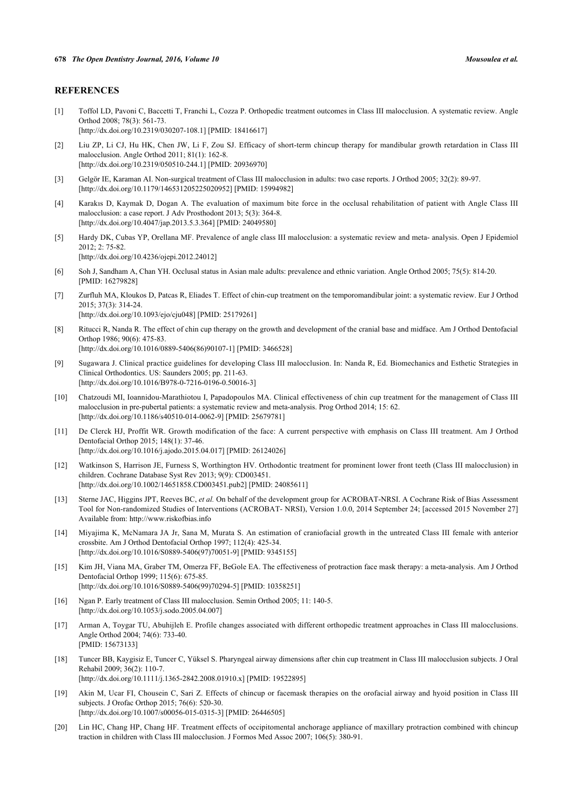## **REFERENCES**

- <span id="page-14-0"></span>[1] Toffol LD, Pavoni C, Baccetti T, Franchi L, Cozza P. Orthopedic treatment outcomes in Class III malocclusion. A systematic review. Angle Orthod 2008; 78(3): 561-73. [\[http://dx.doi.org/10.2319/030207-108.1](http://dx.doi.org/10.2319/030207-108.1)] [PMID: [18416617](http://www.ncbi.nlm.nih.gov/pubmed/18416617)]
- <span id="page-14-6"></span>[2] Liu ZP, Li CJ, Hu HK, Chen JW, Li F, Zou SJ. Efficacy of short-term chincup therapy for mandibular growth retardation in Class III malocclusion. Angle Orthod 2011; 81(1): 162-8. [\[http://dx.doi.org/10.2319/050510-244.1](http://dx.doi.org/10.2319/050510-244.1)] [PMID: [20936970](http://www.ncbi.nlm.nih.gov/pubmed/20936970)]
- <span id="page-14-1"></span>[3] Gelgör IE, Karaman AI. Non-surgical treatment of Class III malocclusion in adults: two case reports. J Orthod 2005; 32(2): 89-97. [\[http://dx.doi.org/10.1179/146531205225020952\]](http://dx.doi.org/10.1179/146531205225020952) [PMID: [15994982](http://www.ncbi.nlm.nih.gov/pubmed/15994982)]
- <span id="page-14-2"></span>[4] Karakıs D, Kaymak D, Dogan A. The evaluation of maximum bite force in the occlusal rehabilitation of patient with Angle Class III malocclusion: a case report. J Adv Prosthodont 2013; 5(3): 364-8. [\[http://dx.doi.org/10.4047/jap.2013.5.3.364\]](http://dx.doi.org/10.4047/jap.2013.5.3.364) [PMID: [24049580](http://www.ncbi.nlm.nih.gov/pubmed/24049580)]
- <span id="page-14-3"></span>[5] Hardy DK, Cubas YP, Orellana MF. Prevalence of angle class III malocclusion: a systematic review and meta- analysis. Open J Epidemiol 2012; 2: 75-82. [\[http://dx.doi.org/10.4236/ojepi.2012.24012\]](http://dx.doi.org/10.4236/ojepi.2012.24012)
- <span id="page-14-4"></span>[6] Soh J, Sandham A, Chan YH. Occlusal status in Asian male adults: prevalence and ethnic variation. Angle Orthod 2005; 75(5): 814-20. [PMID: [16279828\]](http://www.ncbi.nlm.nih.gov/pubmed/16279828)
- <span id="page-14-5"></span>[7] Zurfluh MA, Kloukos D, Patcas R, Eliades T. Effect of chin-cup treatment on the temporomandibular joint: a systematic review. Eur J Orthod 2015; 37(3): 314-24. [\[http://dx.doi.org/10.1093/ejo/cju048\]](http://dx.doi.org/10.1093/ejo/cju048) [PMID: [25179261](http://www.ncbi.nlm.nih.gov/pubmed/25179261)]
- <span id="page-14-7"></span>[8] Ritucci R, Nanda R. The effect of chin cup therapy on the growth and development of the cranial base and midface. Am J Orthod Dentofacial Orthop 1986; 90(6): 475-83. [\[http://dx.doi.org/10.1016/0889-5406\(86\)90107-1](http://dx.doi.org/10.1016/0889-5406(86)90107-1)] [PMID: [3466528](http://www.ncbi.nlm.nih.gov/pubmed/3466528)]
- [9] Sugawara J. Clinical practice guidelines for developing Class III malocclusion. In: Nanda R, Ed. Biomechanics and Esthetic Strategies in Clinical Orthodontics. US: Saunders 2005; pp. 211-63. [\[http://dx.doi.org/10.1016/B978-0-7216-0196-0.50016-3](http://dx.doi.org/10.1016/B978-0-7216-0196-0.50016-3)]
- <span id="page-14-9"></span>[10] Chatzoudi MI, Ioannidou-Marathiotou I, Papadopoulos MA. Clinical effectiveness of chin cup treatment for the management of Class III malocclusion in pre-pubertal patients: a systematic review and meta-analysis. Prog Orthod 2014; 15: 62. [\[http://dx.doi.org/10.1186/s40510-014-0062-9\]](http://dx.doi.org/10.1186/s40510-014-0062-9) [PMID: [25679781](http://www.ncbi.nlm.nih.gov/pubmed/25679781)]
- <span id="page-14-8"></span>[11] De Clerck HJ, Proffit WR. Growth modification of the face: A current perspective with emphasis on Class III treatment. Am J Orthod Dentofacial Orthop 2015; 148(1): 37-46. [\[http://dx.doi.org/10.1016/j.ajodo.2015.04.017\]](http://dx.doi.org/10.1016/j.ajodo.2015.04.017) [PMID: [26124026](http://www.ncbi.nlm.nih.gov/pubmed/26124026)]
- <span id="page-14-10"></span>[12] Watkinson S, Harrison JE, Furness S, Worthington HV. Orthodontic treatment for prominent lower front teeth (Class III malocclusion) in children. Cochrane Database Syst Rev 2013; 9(9): CD003451. [\[http://dx.doi.org/10.1002/14651858.CD003451.pub2\]](http://dx.doi.org/10.1002/14651858.CD003451.pub2) [PMID: [24085611](http://www.ncbi.nlm.nih.gov/pubmed/24085611)]
- <span id="page-14-11"></span>[13] Sterne JAC, Higgins JPT, Reeves BC, *et al.* On behalf of the development group for ACROBAT-NRSI. A Cochrane Risk of Bias Assessment Tool for Non-randomized Studies of Interventions (ACROBAT- NRSI), Version 1.0.0, 2014 September 24; [accessed 2015 November 27] Available from: <http://www.riskofbias.info>
- <span id="page-14-12"></span>[14] Miyajima K, McNamara JA Jr, Sana M, Murata S. An estimation of craniofacial growth in the untreated Class III female with anterior crossbite. Am J Orthod Dentofacial Orthop 1997; 112(4): 425-34. [\[http://dx.doi.org/10.1016/S0889-5406\(97\)70051-9\]](http://dx.doi.org/10.1016/S0889-5406(97)70051-9) [PMID: [9345155](http://www.ncbi.nlm.nih.gov/pubmed/9345155)]
- [15] Kim JH, Viana MA, Graber TM, Omerza FF, BeGole EA. The effectiveness of protraction face mask therapy: a meta-analysis. Am J Orthod Dentofacial Orthop 1999; 115(6): 675-85. [\[http://dx.doi.org/10.1016/S0889-5406\(99\)70294-5\]](http://dx.doi.org/10.1016/S0889-5406(99)70294-5) [PMID: [10358251](http://www.ncbi.nlm.nih.gov/pubmed/10358251)]
- <span id="page-14-13"></span>[16] Ngan P. Early treatment of Class III malocclusion. Semin Orthod 2005; 11: 140-5. [\[http://dx.doi.org/10.1053/j.sodo.2005.04.007](http://dx.doi.org/10.1053/j.sodo.2005.04.007)]
- <span id="page-14-14"></span>[17] Arman A, Toygar TU, Abuhijleh E. Profile changes associated with different orthopedic treatment approaches in Class III malocclusions. Angle Orthod 2004; 74(6): 733-40. [PMID: [15673133\]](http://www.ncbi.nlm.nih.gov/pubmed/15673133)
- <span id="page-14-15"></span>[18] Tuncer BB, Kaygisiz E, Tuncer C, Yüksel S. Pharyngeal airway dimensions after chin cup treatment in Class III malocclusion subjects. J Oral Rehabil 2009; 36(2): 110-7.
- [\[http://dx.doi.org/10.1111/j.1365-2842.2008.01910.x\]](http://dx.doi.org/10.1111/j.1365-2842.2008.01910.x) [PMID: [19522895](http://www.ncbi.nlm.nih.gov/pubmed/19522895)]
- <span id="page-14-17"></span>[19] Akin M, Ucar FI, Chousein C, Sari Z. Effects of chincup or facemask therapies on the orofacial airway and hyoid position in Class III subjects. J Orofac Orthop 2015; 76(6): 520-30. [\[http://dx.doi.org/10.1007/s00056-015-0315-3\]](http://dx.doi.org/10.1007/s00056-015-0315-3) [PMID: [26446505](http://www.ncbi.nlm.nih.gov/pubmed/26446505)]
- <span id="page-14-16"></span>[20] Lin HC, Chang HP, Chang HF. Treatment effects of occipitomental anchorage appliance of maxillary protraction combined with chincup traction in children with Class III malocclusion. J Formos Med Assoc 2007; 106(5): 380-91.